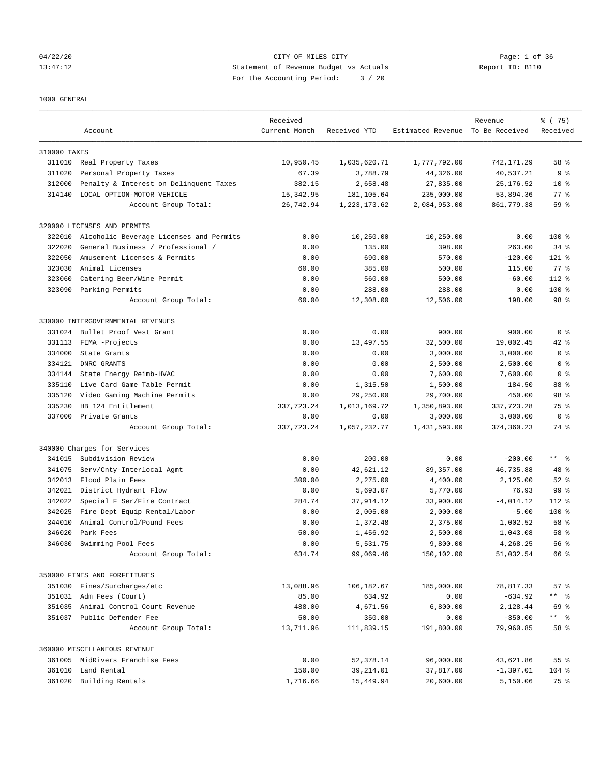## 04/22/20 Page: 1 of 36 CITY OF MILES CITY CONTROL PAGE: 1 of 36 13:47:12 Statement of Revenue Budget vs Actuals Report ID: B110 For the Accounting Period: 3 / 20

### 1000 GENERAL

|              | Account                                 | Received<br>Current Month | Received YTD   | Estimated Revenue To Be Received | Revenue     | % (75)<br>Received |
|--------------|-----------------------------------------|---------------------------|----------------|----------------------------------|-------------|--------------------|
| 310000 TAXES |                                         |                           |                |                                  |             |                    |
|              | 311010 Real Property Taxes              | 10,950.45                 | 1,035,620.71   | 1,777,792.00                     | 742,171.29  | 58 %               |
| 311020       | Personal Property Taxes                 | 67.39                     | 3,788.79       | 44,326.00                        | 40,537.21   | 9 <sub>8</sub>     |
| 312000       | Penalty & Interest on Delinquent Taxes  | 382.15                    | 2,658.48       | 27,835.00                        | 25, 176.52  | $10*$              |
| 314140       | LOCAL OPTION-MOTOR VEHICLE              | 15, 342.95                | 181, 105.64    | 235,000.00                       | 53,894.36   | $77$ $%$           |
|              | Account Group Total:                    | 26,742.94                 | 1, 223, 173.62 | 2,084,953.00                     | 861,779.38  | 59 %               |
|              | 320000 LICENSES AND PERMITS             |                           |                |                                  |             |                    |
| 322010       | Alcoholic Beverage Licenses and Permits | 0.00                      | 10,250.00      | 10,250.00                        | 0.00        | 100 %              |
| 322020       | General Business / Professional /       | 0.00                      | 135.00         | 398.00                           | 263.00      | $34$ $%$           |
| 322050       | Amusement Licenses & Permits            | 0.00                      | 690.00         | 570.00                           | $-120.00$   | $121$ %            |
| 323030       | Animal Licenses                         | 60.00                     | 385.00         | 500.00                           | 115.00      | $77$ $%$           |
| 323060       | Catering Beer/Wine Permit               | 0.00                      | 560.00         | 500.00                           | $-60.00$    | $112$ %            |
|              | 323090 Parking Permits                  | 0.00                      | 288.00         | 288.00                           | 0.00        | 100 %              |
|              | Account Group Total:                    | 60.00                     | 12,308.00      | 12,506.00                        | 198.00      | 98 %               |
|              | 330000 INTERGOVERNMENTAL REVENUES       |                           |                |                                  |             |                    |
| 331024       | Bullet Proof Vest Grant                 | 0.00                      | 0.00           | 900.00                           | 900.00      | 0 <sup>8</sup>     |
| 331113       | FEMA -Projects                          | 0.00                      | 13,497.55      | 32,500.00                        | 19,002.45   | 42 %               |
| 334000       | State Grants                            | 0.00                      | 0.00           | 3,000.00                         | 3,000.00    | 0 <sup>8</sup>     |
| 334121       | DNRC GRANTS                             | 0.00                      | 0.00           | 2,500.00                         | 2,500.00    | 0 <sup>8</sup>     |
| 334144       | State Energy Reimb-HVAC                 | 0.00                      | 0.00           | 7,600.00                         | 7,600.00    | 0 <sup>8</sup>     |
| 335110       | Live Card Game Table Permit             | 0.00                      | 1,315.50       | 1,500.00                         | 184.50      | 88 %               |
| 335120       | Video Gaming Machine Permits            | 0.00                      | 29,250.00      | 29,700.00                        | 450.00      | 98 %               |
| 335230       | HB 124 Entitlement                      | 337,723.24                | 1,013,169.72   | 1,350,893.00                     | 337, 723.28 | 75 %               |
| 337000       | Private Grants                          | 0.00                      | 0.00           | 3,000.00                         | 3,000.00    | 0 <sup>8</sup>     |
|              | Account Group Total:                    | 337,723.24                | 1,057,232.77   | 1,431,593.00                     | 374,360.23  | 74 %               |
|              | 340000 Charges for Services             |                           |                |                                  |             |                    |
| 341015       | Subdivision Review                      | 0.00                      | 200.00         | 0.00                             | $-200.00$   | $***$ $ -$         |
| 341075       | Serv/Cnty-Interlocal Agmt               | 0.00                      | 42,621.12      | 89,357.00                        | 46,735.88   | 48 %               |
| 342013       | Flood Plain Fees                        | 300.00                    | 2,275.00       | 4,400.00                         | 2,125.00    | $52$ $%$           |
| 342021       | District Hydrant Flow                   | 0.00                      | 5,693.07       | 5,770.00                         | 76.93       | 99 %               |
| 342022       | Special F Ser/Fire Contract             | 284.74                    | 37,914.12      | 33,900.00                        | $-4,014.12$ | $112$ %            |
| 342025       | Fire Dept Equip Rental/Labor            | 0.00                      | 2,005.00       | 2,000.00                         | $-5.00$     | $100$ %            |
| 344010       | Animal Control/Pound Fees               | 0.00                      | 1,372.48       | 2,375.00                         | 1,002.52    | 58 %               |
| 346020       | Park Fees                               | 50.00                     | 1,456.92       | 2,500.00                         | 1,043.08    | 58 %               |
| 346030       | Swimming Pool Fees                      | 0.00                      | 5,531.75       | 9,800.00                         | 4,268.25    | 56%                |
|              | Account Group Total:                    | 634.74                    | 99,069.46      | 150,102.00                       | 51,032.54   | 66 %               |
|              | 350000 FINES AND FORFEITURES            |                           |                |                                  |             |                    |
|              | 351030 Fines/Surcharges/etc             | 13,088.96                 | 106,182.67     | 185,000.00                       | 78,817.33   | 57%                |
|              | 351031 Adm Fees (Court)                 | 85.00                     | 634.92         | 0.00                             | $-634.92$   | ** %               |
|              | 351035 Animal Control Court Revenue     | 488.00                    | 4,671.56       | 6,800.00                         | 2,128.44    | 69 %               |
|              | 351037 Public Defender Fee              | 50.00                     | 350.00         | 0.00                             | $-350.00$   | ** %               |
|              | Account Group Total:                    | 13,711.96                 | 111,839.15     | 191,800.00                       | 79,960.85   | 58 %               |
|              | 360000 MISCELLANEOUS REVENUE            |                           |                |                                  |             |                    |
|              | 361005 MidRivers Franchise Fees         | 0.00                      | 52,378.14      | 96,000.00                        | 43,621.86   | 55 %               |
|              | 361010 Land Rental                      | 150.00                    | 39, 214.01     | 37,817.00                        | $-1,397.01$ | 104 %              |
|              | 361020 Building Rentals                 | 1,716.66                  | 15,449.94      | 20,600.00                        | 5,150.06    | 75 %               |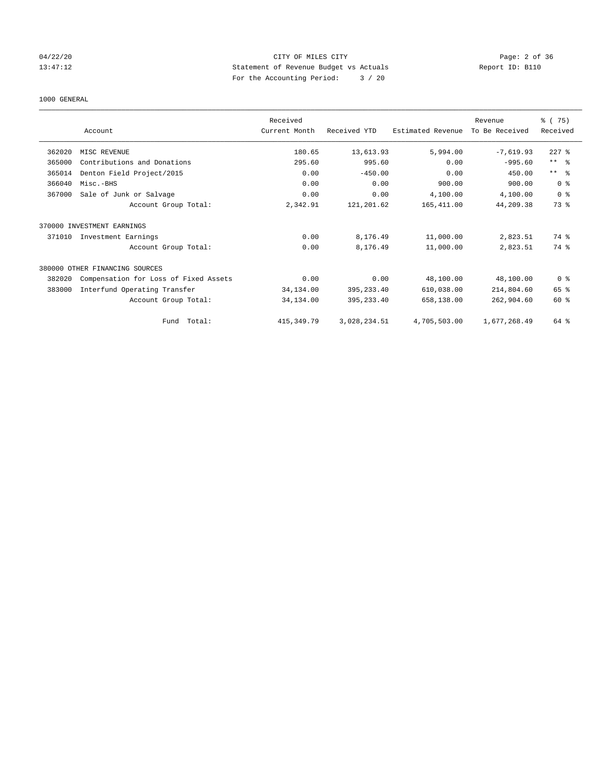# 04/22/20 **CITY OF MILES CITY** CONTROLLER CONTROLLER Page: 2 of 36 13:47:12 Statement of Revenue Budget vs Actuals Report ID: B110 For the Accounting Period: 3 / 20

### 1000 GENERAL

|        |                                       | Received      |              |                   | Revenue        | % (75)                  |
|--------|---------------------------------------|---------------|--------------|-------------------|----------------|-------------------------|
|        | Account                               | Current Month | Received YTD | Estimated Revenue | To Be Received | Received                |
| 362020 | MISC REVENUE                          | 180.65        | 13,613.93    | 5,994.00          | $-7,619.93$    | $227$ $%$               |
| 365000 | Contributions and Donations           | 295.60        | 995.60       | 0.00              | $-995.60$      | $***$ $=$ $\frac{6}{5}$ |
| 365014 | Denton Field Project/2015             | 0.00          | $-450.00$    | 0.00              | 450.00         | $***$ $ -$              |
| 366040 | Misc.-BHS                             | 0.00          | 0.00         | 900.00            | 900.00         | 0 <sup>8</sup>          |
| 367000 | Sale of Junk or Salvage               | 0.00          | 0.00         | 4,100.00          | 4,100.00       | 0 <sup>8</sup>          |
|        | Account Group Total:                  | 2,342.91      | 121,201.62   | 165,411.00        | 44,209.38      | 73 %                    |
|        | 370000 INVESTMENT EARNINGS            |               |              |                   |                |                         |
| 371010 | Investment Earnings                   | 0.00          | 8,176.49     | 11,000.00         | 2,823.51       | 74 %                    |
|        | Account Group Total:                  | 0.00          | 8,176.49     | 11,000.00         | 2,823.51       | 74 %                    |
|        | 380000 OTHER FINANCING SOURCES        |               |              |                   |                |                         |
| 382020 | Compensation for Loss of Fixed Assets | 0.00          | 0.00         | 48,100.00         | 48,100.00      | 0 <sup>8</sup>          |
| 383000 | Interfund Operating Transfer          | 34, 134.00    | 395, 233.40  | 610,038.00        | 214,804.60     | 65 %                    |
|        | Account Group Total:                  | 34,134.00     | 395, 233.40  | 658,138.00        | 262,904.60     | $60*$                   |
|        | Total:<br>Fund                        | 415, 349.79   | 3,028,234.51 | 4,705,503.00      | 1,677,268.49   | 64 %                    |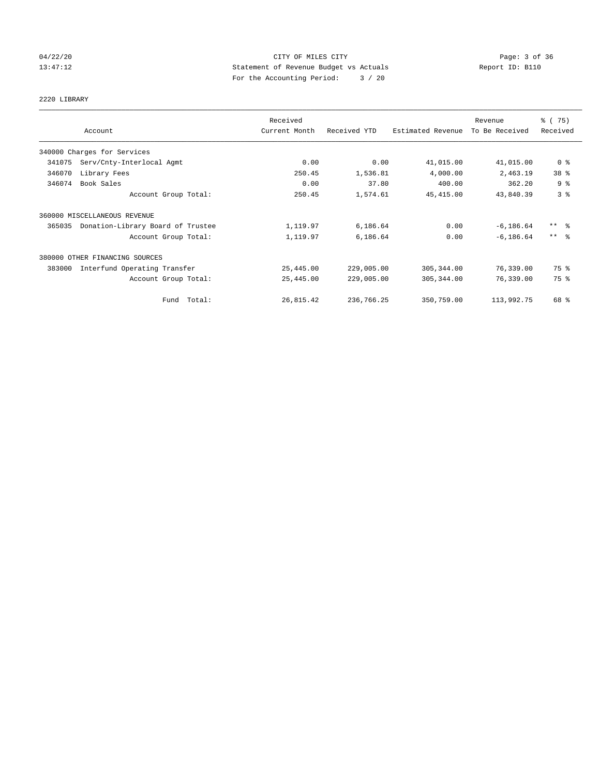# 04/22/20 **CITY OF MILES CITY** CONTROL CONTROL Page: 3 of 36 13:47:12 Statement of Revenue Budget vs Actuals Report ID: B110 For the Accounting Period: 3 / 20

# 2220 LIBRARY

|        |                                   | Received      |              |                   | Revenue        | % (75)                  |
|--------|-----------------------------------|---------------|--------------|-------------------|----------------|-------------------------|
|        | Account                           | Current Month | Received YTD | Estimated Revenue | To Be Received | Received                |
|        | 340000 Charges for Services       |               |              |                   |                |                         |
| 341075 | Serv/Cnty-Interlocal Agmt         | 0.00          | 0.00         | 41,015.00         | 41,015.00      | 0 <sup>8</sup>          |
| 346070 | Library Fees                      | 250.45        | 1,536.81     | 4,000.00          | 2,463.19       | 38 %                    |
| 346074 | Book Sales                        | 0.00          | 37.80        | 400.00            | 362.20         | 9 <sup>°</sup>          |
|        | Account Group Total:              | 250.45        | 1,574.61     | 45, 415.00        | 43,840.39      | 3%                      |
|        | 360000 MISCELLANEOUS REVENUE      |               |              |                   |                |                         |
| 365035 | Donation-Library Board of Trustee | 1,119.97      | 6,186.64     | 0.00              | $-6, 186.64$   | $***$ $=$ $\frac{6}{5}$ |
|        | Account Group Total:              | 1,119.97      | 6,186.64     | 0.00              | $-6, 186.64$   | $***$ 2                 |
|        | 380000 OTHER FINANCING SOURCES    |               |              |                   |                |                         |
| 383000 | Interfund Operating Transfer      | 25,445.00     | 229,005.00   | 305,344.00        | 76,339.00      | 75 %                    |
|        | Account Group Total:              | 25,445.00     | 229,005.00   | 305, 344.00       | 76,339.00      | 75 %                    |
|        | Fund Total:                       | 26,815.42     | 236,766.25   | 350,759.00        | 113,992.75     | 68 %                    |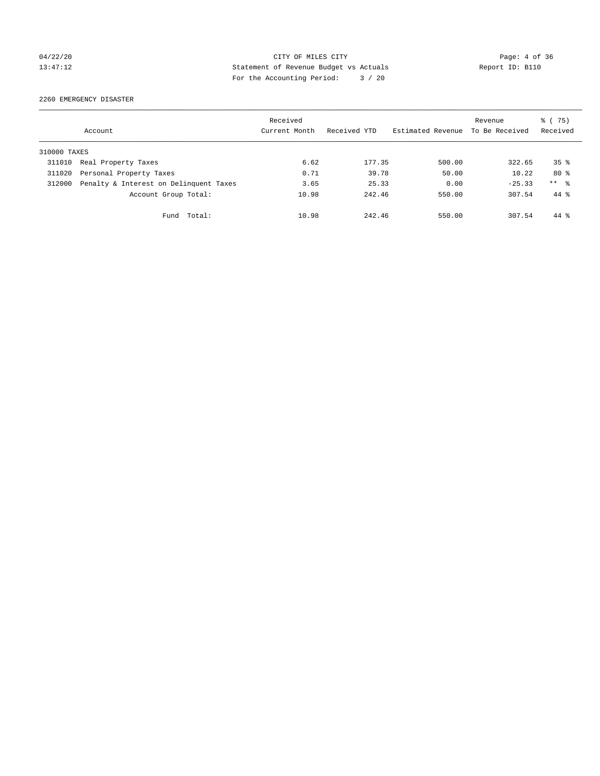# 04/22/20 CITY OF MILES CITY Page: 4 of 36 13:47:12 Statement of Revenue Budget vs Actuals Report ID: B110 For the Accounting Period: 3 / 20

2260 EMERGENCY DISASTER

|              | Account                                | Received<br>Current Month | Received YTD | Estimated Revenue | Revenue<br>To Be Received | % (75)<br>Received |
|--------------|----------------------------------------|---------------------------|--------------|-------------------|---------------------------|--------------------|
| 310000 TAXES |                                        |                           |              |                   |                           |                    |
| 311010       | Real Property Taxes                    | 6.62                      | 177.35       | 500.00            | 322.65                    | 35 <sup>8</sup>    |
| 311020       | Personal Property Taxes                | 0.71                      | 39.78        | 50.00             | 10.22                     | $80*$              |
| 312000       | Penalty & Interest on Delinquent Taxes | 3.65                      | 25.33        | 0.00              | $-25.33$                  | $***$ %            |
|              | Account Group Total:                   | 10.98                     | 242.46       | 550.00            | 307.54                    | $44*$              |
|              | Total:<br>Fund                         | 10.98                     | 242.46       | 550.00            | 307.54                    | $44*$              |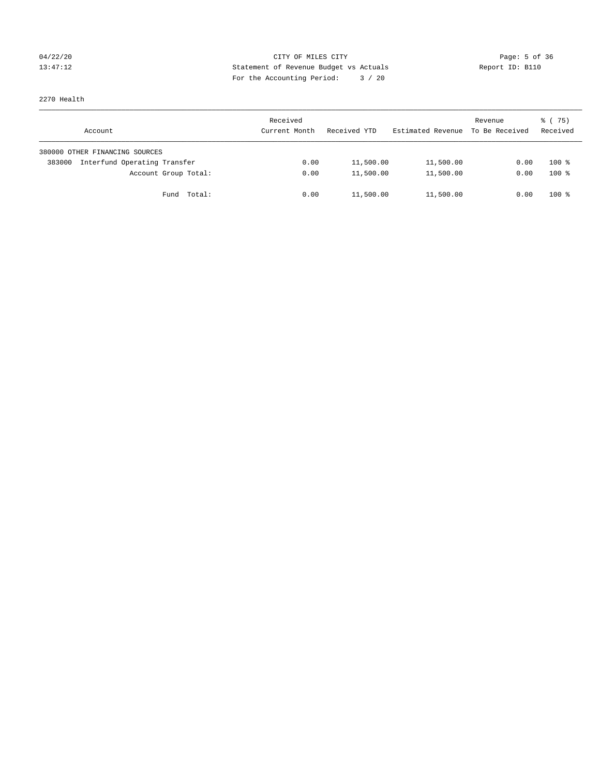## 04/22/20 **CITY OF MILES CITY** CONTROL CONTROL Page: 5 of 36 13:47:12 Statement of Revenue Budget vs Actuals Report ID: B110 For the Accounting Period: 3 / 20

2270 Health

| Account                                | Received<br>Current Month | Received YTD | Estimated Revenue | Revenue<br>To Be Received | 8 (75)<br>Received |
|----------------------------------------|---------------------------|--------------|-------------------|---------------------------|--------------------|
| 380000 OTHER FINANCING SOURCES         |                           |              |                   |                           |                    |
| Interfund Operating Transfer<br>383000 | 0.00                      | 11,500.00    | 11,500.00         | 0.00                      | $100*$             |
| Account Group Total:                   | 0.00                      | 11,500.00    | 11,500.00         | 0.00                      | $100*$             |
| Fund Total:                            | 0.00                      | 11,500.00    | 11,500.00         | 0.00                      | $100*$             |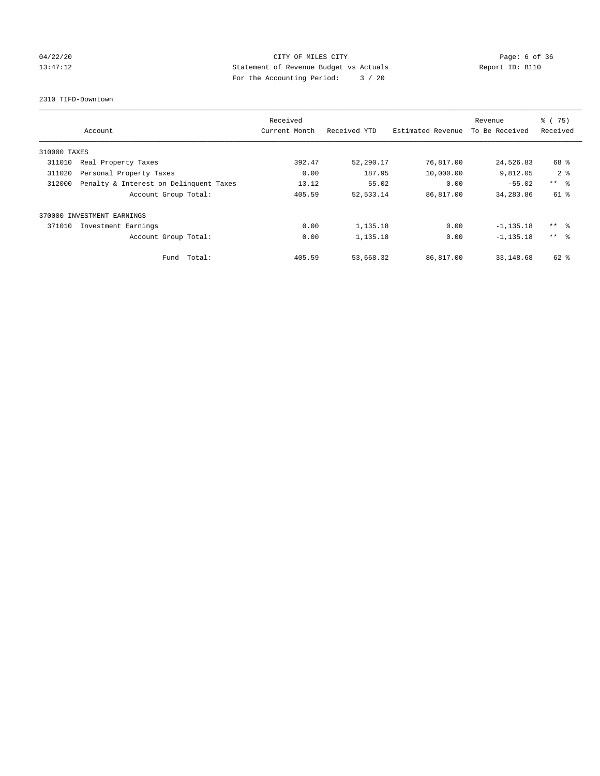# 04/22/20 **Page: 6 of 36** CITY OF MILES CITY CONTROL Page: 6 of 36 13:47:12 Statement of Revenue Budget vs Actuals Report ID: B110 For the Accounting Period: 3 / 20

2310 TIFD-Downtown

|              | Account                                | Received<br>Current Month | Received YTD | Estimated Revenue | Revenue<br>To Be Received | 8 (75)<br>Received |
|--------------|----------------------------------------|---------------------------|--------------|-------------------|---------------------------|--------------------|
| 310000 TAXES |                                        |                           |              |                   |                           |                    |
| 311010       | Real Property Taxes                    | 392.47                    | 52,290.17    | 76,817.00         | 24,526.83                 | 68 %               |
| 311020       | Personal Property Taxes                | 0.00                      | 187.95       | 10,000.00         | 9,812.05                  | 2 <sub>8</sub>     |
| 312000       | Penalty & Interest on Delinquent Taxes | 13.12                     | 55.02        | 0.00              | $-55.02$                  | $***$ $\approx$    |
|              | Account Group Total:                   | 405.59                    | 52, 533.14   | 86,817.00         | 34,283.86                 | $61$ %             |
|              | 370000 INVESTMENT EARNINGS             |                           |              |                   |                           |                    |
| 371010       | Investment Earnings                    | 0.00                      | 1,135.18     | 0.00              | $-1, 135.18$              | $***$ $\approx$    |
|              | Account Group Total:                   | 0.00                      | 1,135.18     | 0.00              | $-1, 135.18$              | $***$ $\approx$    |
|              | Fund Total:                            | 405.59                    | 53,668.32    | 86,817.00         | 33,148.68                 | 62 %               |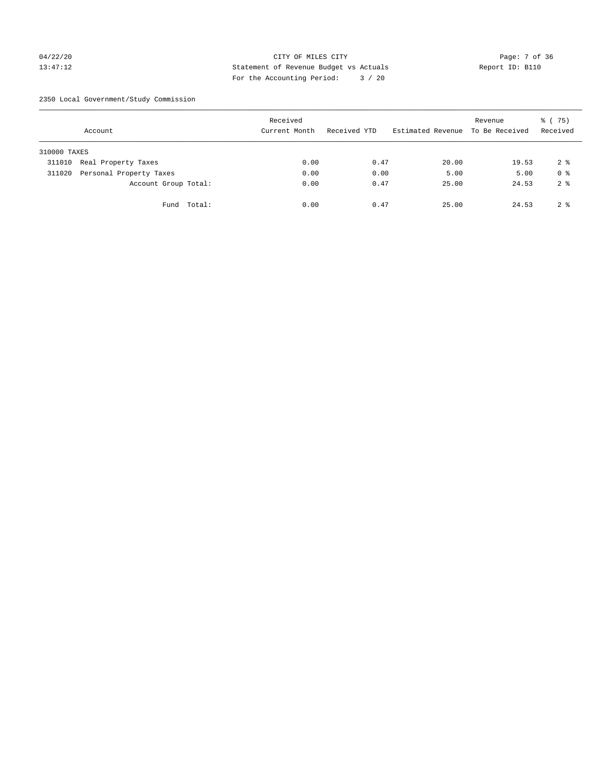## 04/22/20 Page: 7 of 36 CITY OF MILES CITY CONTROL PAGE: 7 of 36 13:47:12 Statement of Revenue Budget vs Actuals Report ID: B110 For the Accounting Period: 3 / 20

2350 Local Government/Study Commission

|              | Account                 |             | Received<br>Current Month |      | Received YTD | Estimated Revenue | Revenue<br>To Be Received | $\frac{6}{6}$ (75)<br>Received |
|--------------|-------------------------|-------------|---------------------------|------|--------------|-------------------|---------------------------|--------------------------------|
| 310000 TAXES |                         |             |                           |      |              |                   |                           |                                |
| 311010       | Real Property Taxes     |             |                           | 0.00 | 0.47         | 20.00             | 19.53                     | 2 <sup>8</sup>                 |
| 311020       | Personal Property Taxes |             |                           | 0.00 | 0.00         | 5.00              | 5.00                      | 0 <sup>8</sup>                 |
|              | Account Group Total:    |             |                           | 0.00 | 0.47         | 25.00             | 24.53                     | 2 <sup>8</sup>                 |
|              |                         | Fund Total: |                           | 0.00 | 0.47         | 25.00             | 24.53                     | 2 <sup>8</sup>                 |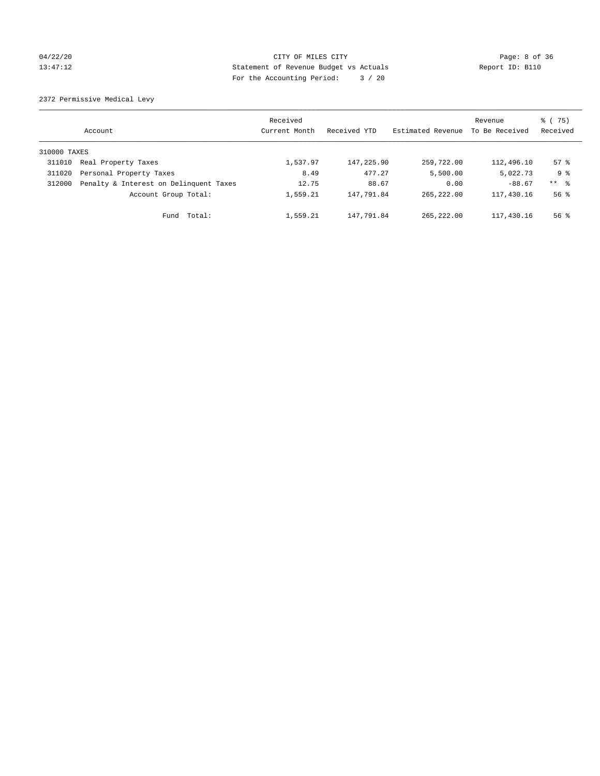## 04/22/20 **Page: 8 of 36** CITY OF MILES CITY CONTROL Page: 8 of 36 13:47:12 Statement of Revenue Budget vs Actuals Report ID: B110 For the Accounting Period: 3 / 20

2372 Permissive Medical Levy

|              | Account                                | Received<br>Current Month | Received YTD | Estimated Revenue | Revenue<br>To Be Received | 8 (75)<br>Received  |
|--------------|----------------------------------------|---------------------------|--------------|-------------------|---------------------------|---------------------|
| 310000 TAXES |                                        |                           |              |                   |                           |                     |
| 311010       | Real Property Taxes                    | 1,537.97                  | 147,225.90   | 259,722.00        | 112,496.10                | $57$ $\frac{6}{3}$  |
| 311020       | Personal Property Taxes                | 8.49                      | 477.27       | 5,500.00          | 5,022.73                  | 9 <sub>8</sub>      |
| 312000       | Penalty & Interest on Delinquent Taxes | 12.75                     | 88.67        | 0.00              | $-88.67$                  | $***$ $\frac{6}{5}$ |
|              | Account Group Total:                   | 1,559.21                  | 147,791.84   | 265, 222, 00      | 117,430.16                | $56$ $\frac{6}{3}$  |
|              | Total:<br>Fund                         | 1,559.21                  | 147.791.84   | 265, 222, 00      | 117,430.16                | $56$ $\frac{6}{3}$  |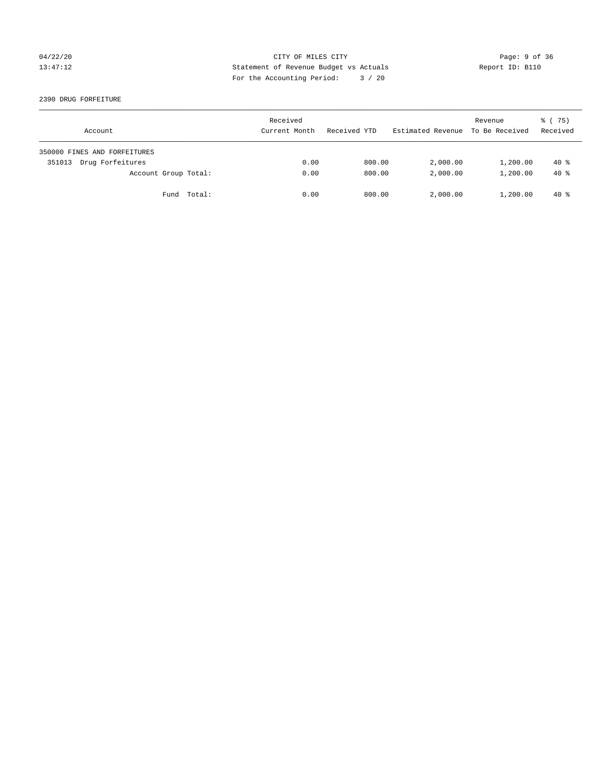## 04/22/20 **CITY OF MILES CITY** CONTROL CONTROL Page: 9 of 36 13:47:12 Statement of Revenue Budget vs Actuals Report ID: B110 For the Accounting Period: 3 / 20

2390 DRUG FORFEITURE

| Account                      |             | Received<br>Current Month | Received YTD | Estimated Revenue | Revenue<br>To Be Received | 8 (75)<br>Received |
|------------------------------|-------------|---------------------------|--------------|-------------------|---------------------------|--------------------|
| 350000 FINES AND FORFEITURES |             |                           |              |                   |                           |                    |
| Drug Forfeitures<br>351013   |             | 0.00                      | 800.00       | 2,000.00          | 1,200.00                  | $40*$              |
| Account Group Total:         |             | 0.00                      | 800.00       | 2,000.00          | 1,200.00                  | $40*$              |
|                              | Fund Total: | 0.00                      | 800.00       | 2,000.00          | 1,200.00                  | $40*$              |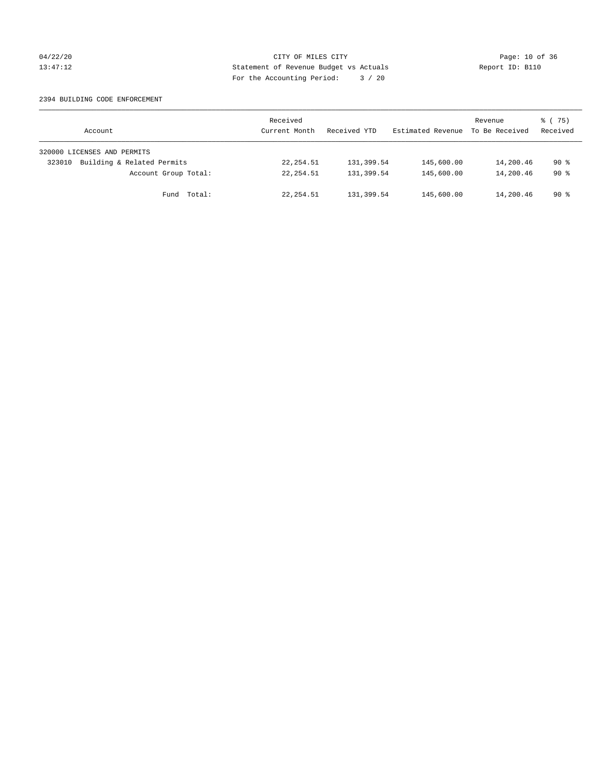## 04/22/20 Page: 10 of 36 CITY OF MILES CITY CHANGES CITY 13:47:12 Statement of Revenue Budget vs Actuals Report ID: B110 For the Accounting Period: 3 / 20

### 2394 BUILDING CODE ENFORCEMENT

| Account                              | Received<br>Current Month | Received YTD | Estimated Revenue | Revenue<br>To Be Received | 8 (75)<br>Received |
|--------------------------------------|---------------------------|--------------|-------------------|---------------------------|--------------------|
| 320000 LICENSES AND PERMITS          |                           |              |                   |                           |                    |
| Building & Related Permits<br>323010 | 22, 254.51                | 131,399.54   | 145,600.00        | 14,200.46                 | $90*$              |
| Account Group Total:                 | 22, 254.51                | 131,399.54   | 145,600.00        | 14,200.46                 | $90*$              |
| Fund Total:                          | 22, 254.51                | 131,399.54   | 145,600.00        | 14,200.46                 | 90 %               |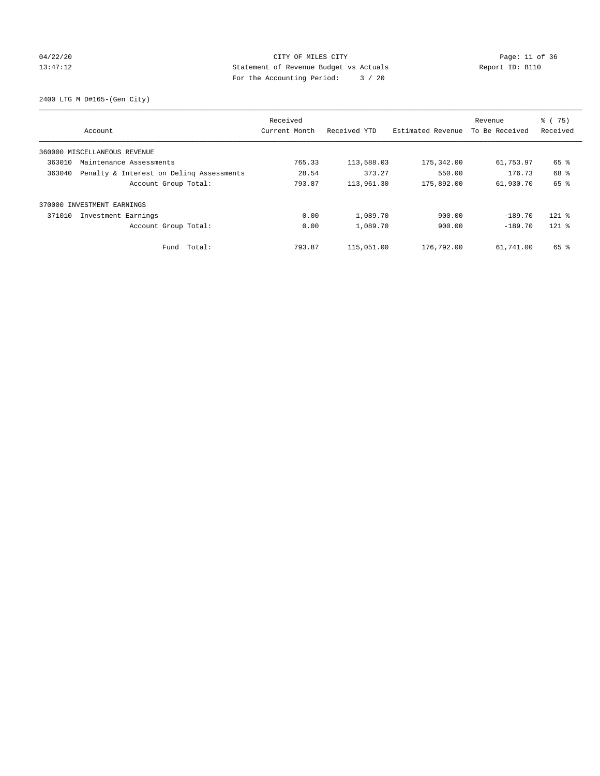## 04/22/20 Page: 11 of 36 CITY OF MILES CITY CHE CITY PAGE: 11 of 36 13:47:12 Statement of Revenue Budget vs Actuals Report ID: B110 For the Accounting Period: 3 / 20

2400 LTG M D#165-(Gen City)

|                                                    | Received      |              |                   | Revenue        | $\frac{6}{6}$ (75) |
|----------------------------------------------------|---------------|--------------|-------------------|----------------|--------------------|
| Account                                            | Current Month | Received YTD | Estimated Revenue | To Be Received | Received           |
| 360000 MISCELLANEOUS REVENUE                       |               |              |                   |                |                    |
| 363010<br>Maintenance Assessments                  | 765.33        | 113,588.03   | 175,342.00        | 61,753.97      | 65 %               |
| 363040<br>Penalty & Interest on Deling Assessments | 28.54         | 373.27       | 550.00            | 176.73         | 68 %               |
| Account Group Total:                               | 793.87        | 113,961.30   | 175,892.00        | 61,930.70      | 65 %               |
| 370000 INVESTMENT EARNINGS                         |               |              |                   |                |                    |
| 371010<br>Investment Earnings                      | 0.00          | 1,089.70     | 900.00            | $-189.70$      | $121$ %            |
| Account Group Total:                               | 0.00          | 1,089.70     | 900.00            | $-189.70$      | $121$ %            |
| Total:<br>Fund                                     | 793.87        | 115,051.00   | 176,792.00        | 61,741.00      | 65 %               |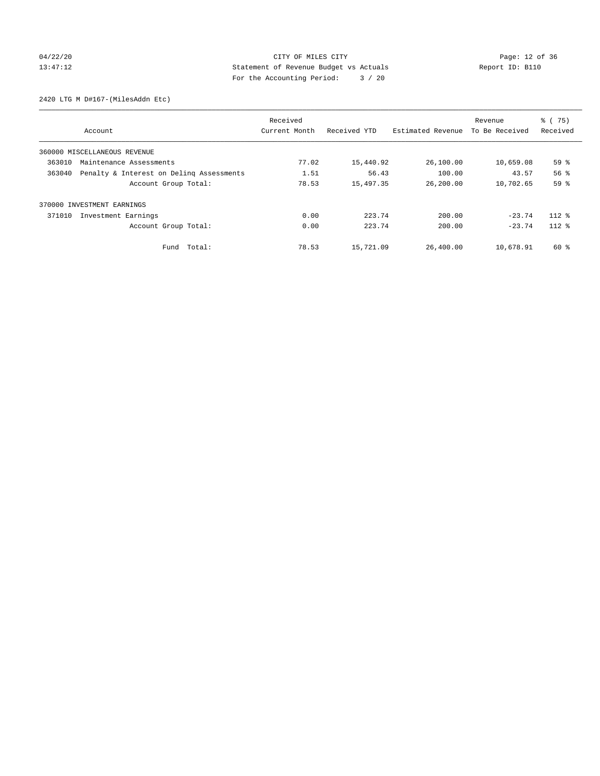# 04/22/20 Page: 12 of 36 CITY OF MILES CITY CHE CITY Page: 12 of 36 13:47:12 Statement of Revenue Budget vs Actuals Report ID: B110 For the Accounting Period: 3 / 20

2420 LTG M D#167-(MilesAddn Etc)

|        |                                          | Received      |              |                   | Revenue        | $\frac{6}{6}$ (75) |
|--------|------------------------------------------|---------------|--------------|-------------------|----------------|--------------------|
|        | Account                                  | Current Month | Received YTD | Estimated Revenue | To Be Received | Received           |
|        | 360000 MISCELLANEOUS REVENUE             |               |              |                   |                |                    |
| 363010 | Maintenance Assessments                  | 77.02         | 15,440.92    | 26,100.00         | 10,659.08      | 59 <sup>°</sup>    |
| 363040 | Penalty & Interest on Deling Assessments | 1.51          | 56.43        | 100.00            | 43.57          | 56%                |
|        | Account Group Total:                     | 78.53         | 15,497.35    | 26,200.00         | 10,702.65      | 59%                |
|        | 370000 INVESTMENT EARNINGS               |               |              |                   |                |                    |
| 371010 | Investment Earnings                      | 0.00          | 223.74       | 200.00            | $-23.74$       | $112*$             |
|        | Account Group Total:                     | 0.00          | 223.74       | 200.00            | $-23.74$       | $112*$             |
|        | Fund Total:                              | 78.53         | 15,721.09    | 26,400.00         | 10,678.91      | 60 %               |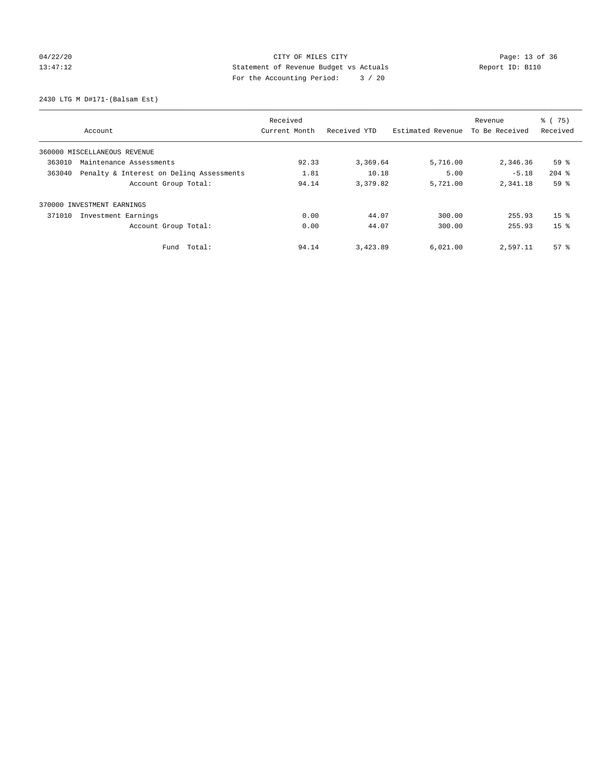# 04/22/20 Page: 13 of 36 CITY OF MILES CITY CHANGES CITY 13:47:12 Statement of Revenue Budget vs Actuals Report ID: B110 For the Accounting Period: 3 / 20

2430 LTG M D#171-(Balsam Est)

|                                                    | Received      |              |                   | Revenue        | $\frac{6}{6}$ (75)<br>Received |
|----------------------------------------------------|---------------|--------------|-------------------|----------------|--------------------------------|
| Account                                            | Current Month | Received YTD | Estimated Revenue | To Be Received |                                |
| 360000 MISCELLANEOUS REVENUE                       |               |              |                   |                |                                |
| 363010<br>Maintenance Assessments                  | 92.33         | 3,369.64     | 5,716.00          | 2,346.36       | 59 %                           |
| 363040<br>Penalty & Interest on Deling Assessments | 1.81          | 10.18        | 5.00              | $-5.18$        | $204$ %                        |
| Account Group Total:                               | 94.14         | 3,379.82     | 5,721.00          | 2,341.18       | 59%                            |
| 370000 INVESTMENT EARNINGS                         |               |              |                   |                |                                |
| Investment Earnings<br>371010                      | 0.00          | 44.07        | 300.00            | 255.93         | $15*$                          |
| Account Group Total:                               | 0.00          | 44.07        | 300.00            | 255.93         | 15 <sup>8</sup>                |
| Total:<br>Fund                                     | 94.14         | 3,423.89     | 6,021.00          | 2,597.11       | 57 <sup>8</sup>                |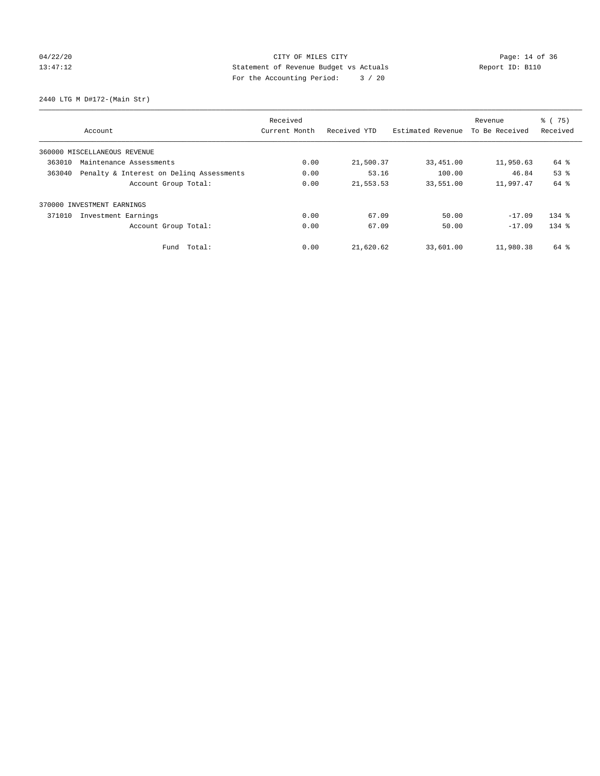# 04/22/20 Page: 14 of 36 13:47:12 Statement of Revenue Budget vs Actuals Report ID: B110 For the Accounting Period: 3 / 20

2440 LTG M D#172-(Main Str)

|                               | Received                                 |               |              |                   | Revenue        | $\frac{6}{6}$ (75) |
|-------------------------------|------------------------------------------|---------------|--------------|-------------------|----------------|--------------------|
| Account                       |                                          | Current Month | Received YTD | Estimated Revenue | To Be Received | Received           |
| 360000 MISCELLANEOUS REVENUE  |                                          |               |              |                   |                |                    |
| 363010                        | Maintenance Assessments                  |               | 21,500.37    | 33,451.00         | 11,950.63      | 64 %               |
| 363040                        | Penalty & Interest on Deling Assessments |               | 53.16        | 100.00            | 46.84          | 53%                |
|                               | Account Group Total:                     | 0.00          | 21,553.53    | 33,551.00         | 11,997.47      | 64 %               |
| 370000 INVESTMENT EARNINGS    |                                          |               |              |                   |                |                    |
| 371010<br>Investment Earnings |                                          | 0.00          | 67.09        | 50.00             | $-17.09$       | $134$ $%$          |
|                               | Account Group Total:                     | 0.00          | 67.09        | 50.00             | $-17.09$       | $134$ $%$          |
|                               | Fund Total:                              | 0.00          | 21,620.62    | 33,601.00         | 11,980.38      | 64 %               |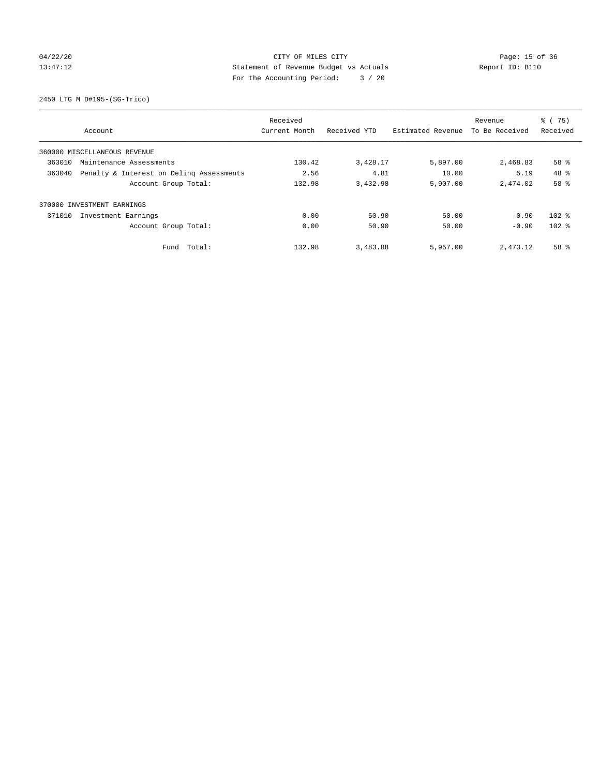## 04/22/20 Page: 15 of 36 CITY OF MILES CITY CHANGES CITY 13:47:12 Statement of Revenue Budget vs Actuals Report ID: B110 For the Accounting Period: 3 / 20

2450 LTG M D#195-(SG-Trico)

|         | Received                                 |               |              |                   |                | $\frac{6}{6}$ (75) |
|---------|------------------------------------------|---------------|--------------|-------------------|----------------|--------------------|
| Account |                                          | Current Month | Received YTD | Estimated Revenue | To Be Received | Received           |
|         | 360000 MISCELLANEOUS REVENUE             |               |              |                   |                |                    |
| 363010  | Maintenance Assessments                  | 130.42        | 3,428.17     | 5,897.00          | 2,468.83       | 58 %               |
| 363040  | Penalty & Interest on Deling Assessments |               | 4.81         | 10.00             | 5.19           | $48*$              |
|         | Account Group Total:                     | 132.98        | 3,432.98     | 5,907.00          | 2,474.02       | 58 %               |
|         | 370000 INVESTMENT EARNINGS               |               |              |                   |                |                    |
| 371010  | Investment Earnings                      | 0.00          | 50.90        | 50.00             | $-0.90$        | $102$ %            |
|         | Account Group Total:                     | 0.00          | 50.90        | 50.00             | $-0.90$        | $102$ %            |
|         | Fund Total:                              | 132.98        | 3,483.88     | 5,957.00          | 2,473.12       | 58 %               |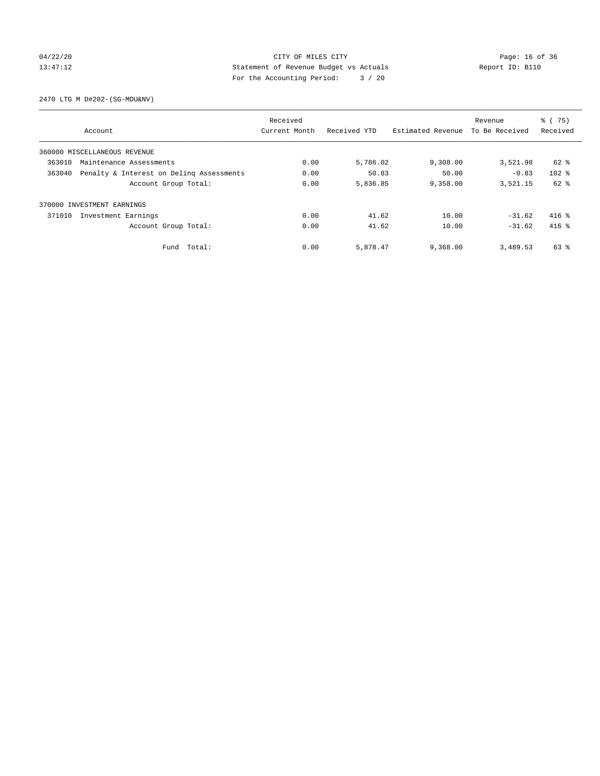## 04/22/20 Page: 16 of 36 CITY OF MILES CITY CHANGES CITY 13:47:12 Statement of Revenue Budget vs Actuals Report ID: B110 For the Accounting Period: 3 / 20

2470 LTG M D#202-(SG-MDU&NV)

|        | Received                                 |               |              |                   | Revenue        | % (75)   |
|--------|------------------------------------------|---------------|--------------|-------------------|----------------|----------|
|        | Account                                  | Current Month | Received YTD | Estimated Revenue | To Be Received | Received |
|        | 360000 MISCELLANEOUS REVENUE             |               |              |                   |                |          |
| 363010 | Maintenance Assessments                  |               | 5,786.02     | 9,308.00          | 3,521.98       | 62 %     |
| 363040 | Penalty & Interest on Deling Assessments |               | 50.83        | 50.00             | $-0.83$        | $102$ %  |
|        | Account Group Total:                     | 0.00          | 5,836.85     | 9,358.00          | 3,521.15       | $62$ $%$ |
|        | 370000 INVESTMENT EARNINGS               |               |              |                   |                |          |
| 371010 | Investment Earnings                      | 0.00          | 41.62        | 10.00             | $-31.62$       | $416$ %  |
|        | Account Group Total:                     | 0.00          | 41.62        | 10.00             | $-31.62$       | $416$ %  |
|        | Fund Total:                              | 0.00          | 5,878.47     | 9,368.00          | 3,489.53       | 63 %     |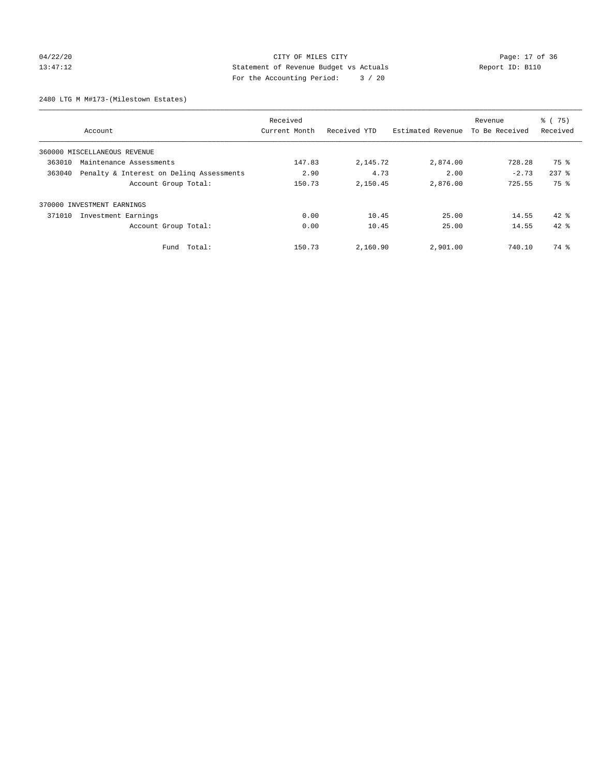## 04/22/20 Page: 17 of 36 CITY OF MILES CITY CHE CITY PAGE: 17 of 36 13:47:12 Statement of Revenue Budget vs Actuals Report ID: B110 For the Accounting Period: 3 / 20

2480 LTG M M#173-(Milestown Estates)

|        | Received                                 |               |              |                   |                | % (75)    |
|--------|------------------------------------------|---------------|--------------|-------------------|----------------|-----------|
|        | Account                                  | Current Month | Received YTD | Estimated Revenue | To Be Received | Received  |
|        | 360000 MISCELLANEOUS REVENUE             |               |              |                   |                |           |
| 363010 | Maintenance Assessments                  | 147.83        | 2,145.72     | 2,874.00          | 728.28         | 75 %      |
| 363040 | Penalty & Interest on Deling Assessments |               | 4.73         | 2.00              | $-2.73$        | $237$ $%$ |
|        | Account Group Total:                     | 150.73        | 2,150.45     | 2,876.00          | 725.55         | 75 %      |
|        | 370000 INVESTMENT EARNINGS               |               |              |                   |                |           |
| 371010 | Investment Earnings                      | 0.00          | 10.45        | 25.00             | 14.55          | $42*$     |
|        | Account Group Total:                     | 0.00          | 10.45        | 25.00             | 14.55          | $42*$     |
|        | Fund Total:                              | 150.73        | 2,160.90     | 2,901.00          | 740.10         | 74 %      |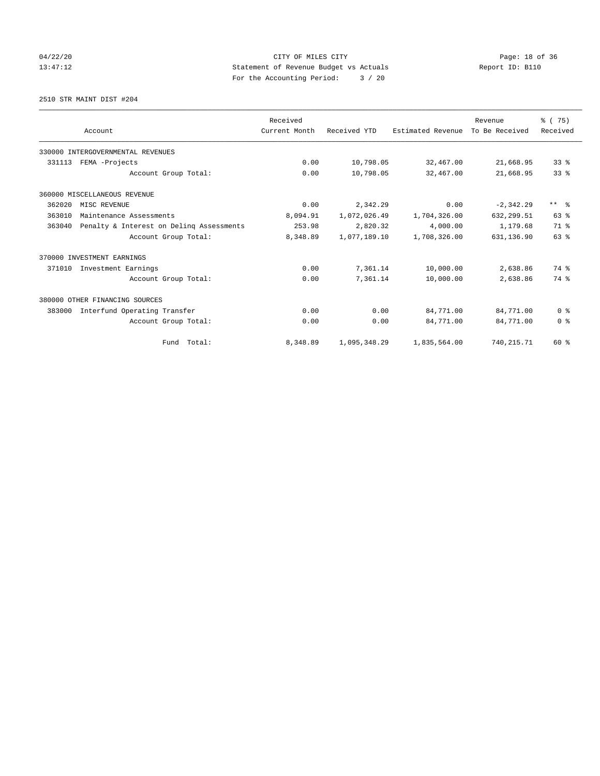# 04/22/20 Page: 18 of 36 CITY OF MILES CITY CHE CITY PAGE: 18 of 36 13:47:12 Statement of Revenue Budget vs Actuals Report ID: B110 For the Accounting Period: 3 / 20

2510 STR MAINT DIST #204

|        |                                          | Received      |              |                   | Revenue        | % (75)          |
|--------|------------------------------------------|---------------|--------------|-------------------|----------------|-----------------|
|        | Account                                  | Current Month | Received YTD | Estimated Revenue | To Be Received | Received        |
|        | 330000 INTERGOVERNMENTAL REVENUES        |               |              |                   |                |                 |
| 331113 | FEMA -Projects                           | 0.00          | 10,798.05    | 32,467.00         | 21,668.95      | 338             |
|        | Account Group Total:                     | 0.00          | 10,798.05    | 32,467.00         | 21,668.95      | 33 <sup>8</sup> |
|        | 360000 MISCELLANEOUS REVENUE             |               |              |                   |                |                 |
| 362020 | MISC REVENUE                             | 0.00          | 2,342.29     | 0.00              | $-2, 342.29$   | $***$ $=$       |
| 363010 | Maintenance Assessments                  | 8,094.91      | 1,072,026.49 | 1,704,326.00      | 632,299.51     | 63%             |
| 363040 | Penalty & Interest on Deling Assessments | 253.98        | 2,820.32     | 4,000.00          | 1,179.68       | 71.8            |
|        | Account Group Total:                     | 8,348.89      | 1,077,189.10 | 1,708,326.00      | 631,136.90     | 63%             |
|        | 370000 INVESTMENT EARNINGS               |               |              |                   |                |                 |
| 371010 | Investment Earnings                      | 0.00          | 7,361.14     | 10,000.00         | 2,638.86       | 74 %            |
|        | Account Group Total:                     | 0.00          | 7,361.14     | 10,000.00         | 2,638.86       | 74 %            |
|        | 380000 OTHER FINANCING SOURCES           |               |              |                   |                |                 |
| 383000 | Interfund Operating Transfer             | 0.00          | 0.00         | 84,771.00         | 84,771.00      | 0 <sup>8</sup>  |
|        | Account Group Total:                     | 0.00          | 0.00         | 84,771.00         | 84,771.00      | 0 <sup>8</sup>  |
|        | Fund Total:                              | 8,348.89      | 1,095,348.29 | 1,835,564.00      | 740, 215.71    | $60*$           |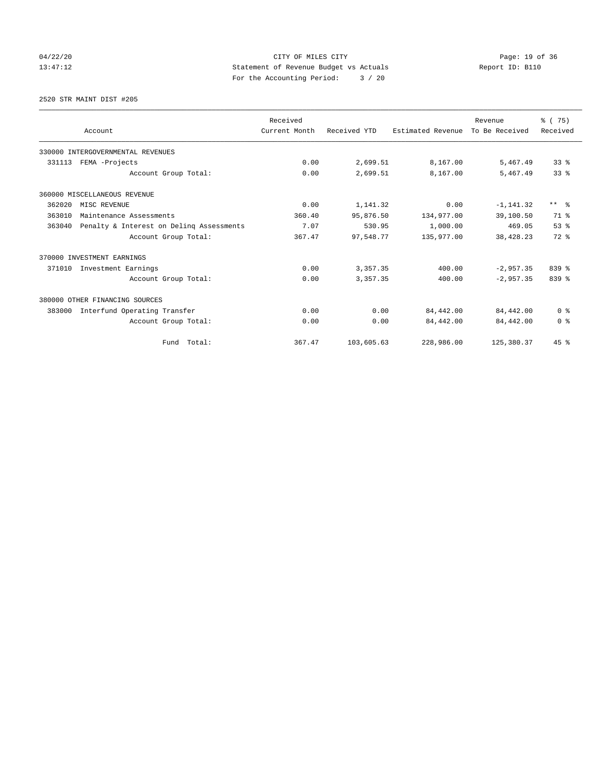04/22/20 Page: 19 of 36 CITY OF MILES CITY CHANGES CITY 13:47:12 Statement of Revenue Budget vs Actuals Report ID: B110 For the Accounting Period: 3 / 20

2520 STR MAINT DIST #205

|        |                                          | Received      |              |                   | Revenue        | % (75)                  |
|--------|------------------------------------------|---------------|--------------|-------------------|----------------|-------------------------|
|        | Account                                  | Current Month | Received YTD | Estimated Revenue | To Be Received | Received                |
|        | 330000 INTERGOVERNMENTAL REVENUES        |               |              |                   |                |                         |
| 331113 | FEMA -Projects                           | 0.00          | 2,699.51     | 8,167.00          | 5,467.49       | 338                     |
|        | Account Group Total:                     | 0.00          | 2,699.51     | 8,167.00          | 5,467.49       | 33 <sup>8</sup>         |
|        | 360000 MISCELLANEOUS REVENUE             |               |              |                   |                |                         |
| 362020 | MISC REVENUE                             | 0.00          | 1,141.32     | 0.00              | $-1, 141.32$   | $***$ $=$ $\frac{6}{5}$ |
| 363010 | Maintenance Assessments                  | 360.40        | 95,876.50    | 134,977.00        | 39,100.50      | 71 %                    |
| 363040 | Penalty & Interest on Deling Assessments | 7.07          | 530.95       | 1,000.00          | 469.05         | 53%                     |
|        | Account Group Total:                     | 367.47        | 97,548.77    | 135,977.00        | 38, 428, 23    | $72$ $%$                |
|        | 370000 INVESTMENT EARNINGS               |               |              |                   |                |                         |
| 371010 | Investment Earnings                      | 0.00          | 3,357.35     | 400.00            | $-2.957.35$    | $839$ $%$               |
|        | Account Group Total:                     | 0.00          | 3,357.35     | 400.00            | $-2,957.35$    | 839 %                   |
|        | 380000 OTHER FINANCING SOURCES           |               |              |                   |                |                         |
| 383000 | Interfund Operating Transfer             | 0.00          | 0.00         | 84,442.00         | 84,442.00      | 0 <sup>8</sup>          |
|        | Account Group Total:                     | 0.00          | 0.00         | 84,442.00         | 84,442.00      | 0 <sup>8</sup>          |
|        | Fund Total:                              | 367.47        | 103,605.63   | 228,986.00        | 125,380.37     | 45%                     |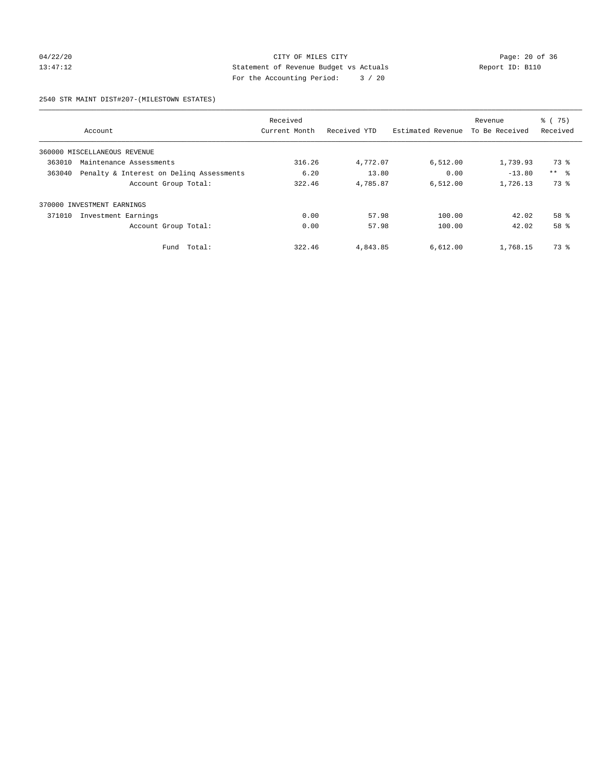## 04/22/20 Page: 20 of 36 CITY OF MILES CITY CHANGES CONTROL PAGE: 20 of 36 13:47:12 Statement of Revenue Budget vs Actuals Report ID: B110 For the Accounting Period: 3 / 20

2540 STR MAINT DIST#207-(MILESTOWN ESTATES)

|        |                                          | Received      |              |                   | Revenue        | % (75)     |
|--------|------------------------------------------|---------------|--------------|-------------------|----------------|------------|
|        | Account                                  | Current Month | Received YTD | Estimated Revenue | To Be Received | Received   |
|        | 360000 MISCELLANEOUS REVENUE             |               |              |                   |                |            |
| 363010 | Maintenance Assessments                  | 316.26        | 4,772.07     | 6,512.00          | 1,739.93       | 73 %       |
| 363040 | Penalty & Interest on Deling Assessments | 6.20          | 13.80        | 0.00              | $-13.80$       | $***$ $ -$ |
|        | Account Group Total:                     | 322.46        | 4,785.87     | 6,512.00          | 1,726.13       | 73 %       |
|        | 370000 INVESTMENT EARNINGS               |               |              |                   |                |            |
| 371010 | Investment Earnings                      | 0.00          | 57.98        | 100.00            | 42.02          | 58 %       |
|        | Account Group Total:                     | 0.00          | 57.98        | 100.00            | 42.02          | 58 %       |
|        | Total:<br>Fund                           | 322.46        | 4,843.85     | 6,612.00          | 1,768.15       | 73 %       |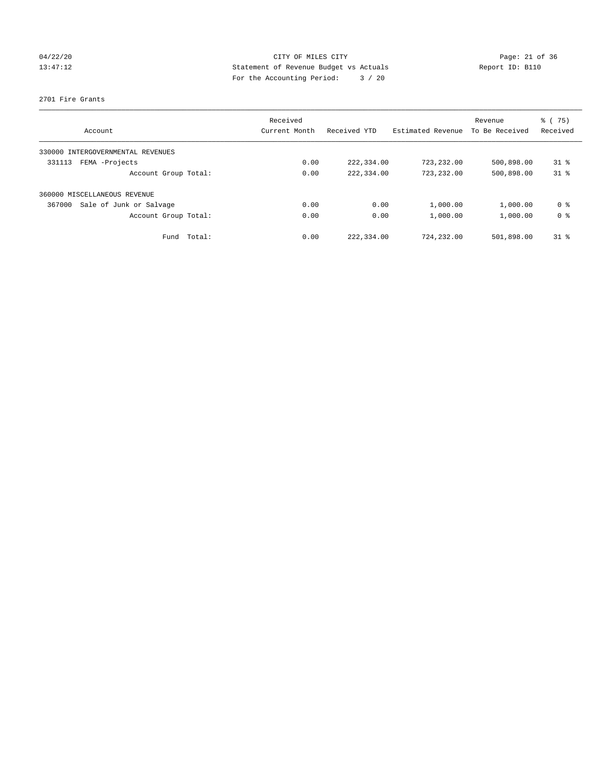# 04/22/20 Page: 21 of 36 CITY OF MILES CITY CHANGES CITY 13:47:12 Statement of Revenue Budget vs Actuals Report ID: B110 For the Accounting Period: 3 / 20

### 2701 Fire Grants

|                                   | Received      |              |                   | Revenue        | % (75)         |
|-----------------------------------|---------------|--------------|-------------------|----------------|----------------|
| Account                           | Current Month | Received YTD | Estimated Revenue | To Be Received | Received       |
| 330000 INTERGOVERNMENTAL REVENUES |               |              |                   |                |                |
| FEMA -Projects<br>331113          | 0.00          | 222,334.00   | 723, 232, 00      | 500,898.00     | $31*$          |
| Account Group Total:              | 0.00          | 222,334.00   | 723,232.00        | 500,898.00     | $31*$          |
| 360000 MISCELLANEOUS REVENUE      |               |              |                   |                |                |
| Sale of Junk or Salvage<br>367000 | 0.00          | 0.00         | 1,000.00          | 1,000.00       | 0 <sup>8</sup> |
| Account Group Total:              | 0.00          | 0.00         | 1,000.00          | 1,000.00       | 0 <sup>8</sup> |
| Fund Total:                       | 0.00          | 222,334.00   | 724,232.00        | 501,898.00     | $31*$          |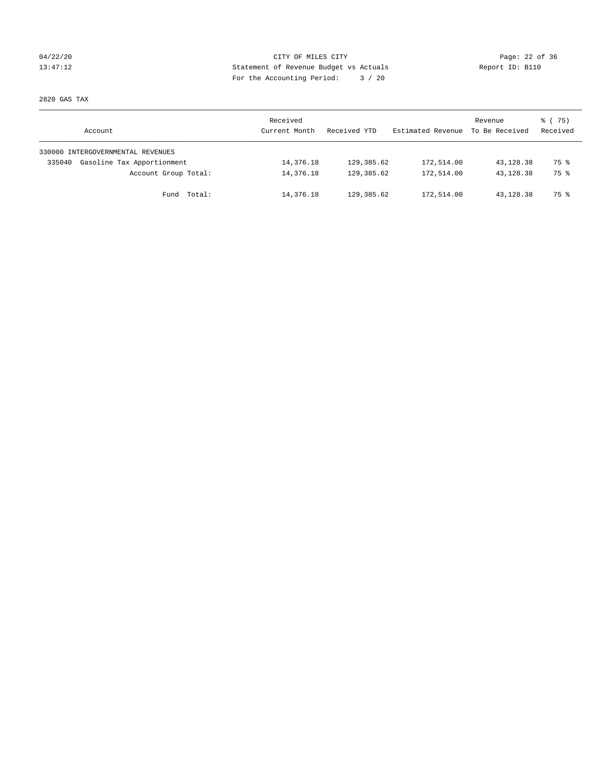## 04/22/20 Page: 22 of 36 CITY OF MILES CITY CHANGES CONTROL PAGE: 22 of 36 13:47:12 Statement of Revenue Budget vs Actuals Report ID: B110 For the Accounting Period: 3 / 20

2820 GAS TAX

| Account                              | Received<br>Current Month | Received YTD | Estimated Revenue | Revenue<br>To Be Received | 8 (75)<br>Received |
|--------------------------------------|---------------------------|--------------|-------------------|---------------------------|--------------------|
| 330000 INTERGOVERNMENTAL REVENUES    |                           |              |                   |                           |                    |
| Gasoline Tax Apportionment<br>335040 | 14,376.18                 | 129,385.62   | 172,514.00        | 43,128.38                 | 75 %               |
| Account Group Total:                 | 14,376.18                 | 129, 385.62  | 172,514.00        | 43, 128, 38               | 75 %               |
| Fund Total:                          | 14,376.18                 | 129,385.62   | 172,514.00        | 43,128.38                 | 75 %               |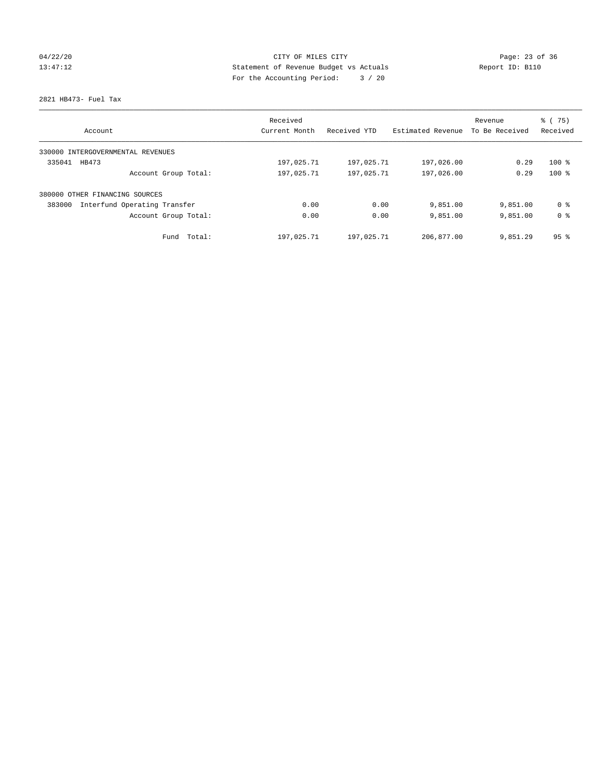# 04/22/20 Page: 23 of 36 CITY OF MILES CITY CHANGES CONTROL PAGE: 23 of 36 13:47:12 Statement of Revenue Budget vs Actuals Report ID: B110 For the Accounting Period: 3 / 20

2821 HB473- Fuel Tax

| Account                                | Received<br>Current Month | Received YTD | Estimated Revenue | Revenue<br>To Be Received | % (75)<br>Received |
|----------------------------------------|---------------------------|--------------|-------------------|---------------------------|--------------------|
|                                        |                           |              |                   |                           |                    |
| 330000 INTERGOVERNMENTAL REVENUES      |                           |              |                   |                           |                    |
| 335041<br>HB473                        | 197,025.71                | 197,025.71   | 197,026.00        | 0.29                      | $100*$             |
| Account Group Total:                   | 197,025.71                | 197,025.71   | 197,026.00        | 0.29                      | $100*$             |
| 380000 OTHER FINANCING SOURCES         |                           |              |                   |                           |                    |
| Interfund Operating Transfer<br>383000 | 0.00                      | 0.00         | 9,851.00          | 9,851.00                  | 0 <sup>8</sup>     |
| Account Group Total:                   | 0.00                      | 0.00         | 9,851.00          | 9,851.00                  | 0 <sup>8</sup>     |
| Total:<br>Fund                         | 197,025.71                | 197,025.71   | 206,877.00        | 9,851.29                  | 95 <sup>8</sup>    |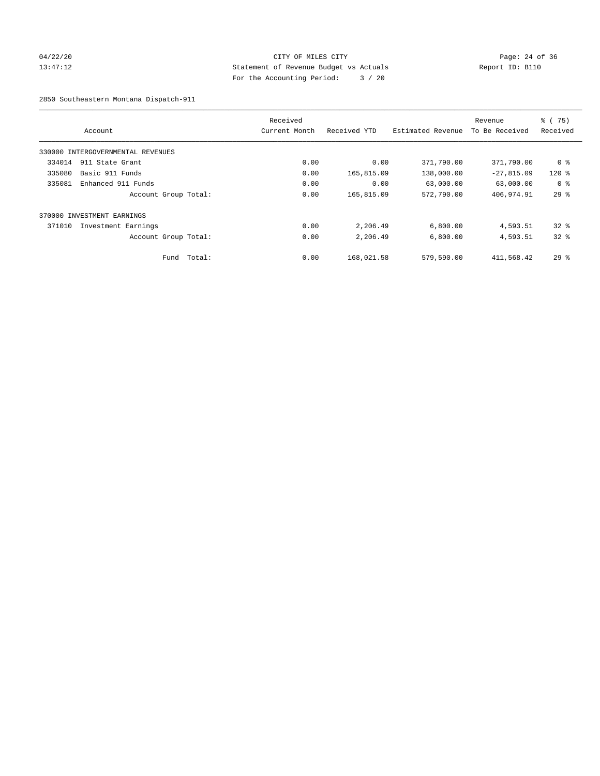## 04/22/20 Page: 24 of 36 CITY OF MILES CITY CHANGES CONTROL PAGE: 24 of 36 13:47:12 Statement of Revenue Budget vs Actuals Report ID: B110 For the Accounting Period: 3 / 20

2850 Southeastern Montana Dispatch-911

|        | Account                           |        | Received<br>Current Month | Received YTD | Estimated Revenue | Revenue<br>To Be Received | % (75)<br>Received |
|--------|-----------------------------------|--------|---------------------------|--------------|-------------------|---------------------------|--------------------|
|        | 330000 INTERGOVERNMENTAL REVENUES |        |                           |              |                   |                           |                    |
| 334014 | 911 State Grant                   |        | 0.00                      | 0.00         | 371,790.00        | 371,790.00                | 0 %                |
| 335080 | Basic 911 Funds                   |        | 0.00                      | 165,815.09   | 138,000.00        | $-27,815.09$              | $120$ $%$          |
| 335081 | Enhanced 911 Funds                |        | 0.00                      | 0.00         | 63,000.00         | 63,000.00                 | 0 <sup>8</sup>     |
|        | Account Group Total:              |        | 0.00                      | 165,815.09   | 572,790.00        | 406,974.91                | 29%                |
|        | 370000 INVESTMENT EARNINGS        |        |                           |              |                   |                           |                    |
| 371010 | Investment Earnings               |        | 0.00                      | 2,206.49     | 6,800.00          | 4,593.51                  | $32*$              |
|        | Account Group Total:              |        | 0.00                      | 2,206.49     | 6,800.00          | 4,593.51                  | $32*$              |
|        | Fund                              | Total: | 0.00                      | 168,021.58   | 579,590.00        | 411,568.42                | $29*$              |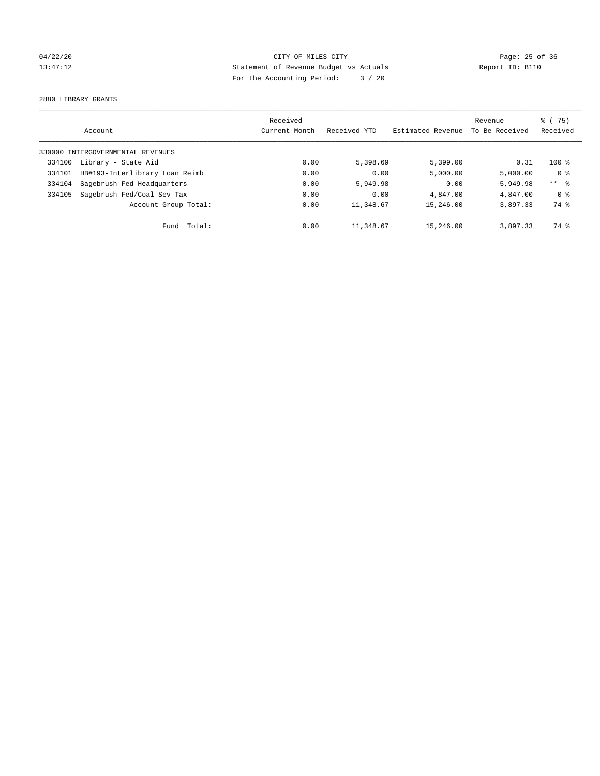# 04/22/20 Page: 25 of 36 CITY OF MILES CITY CHANGES CONTROL PAGE: 25 of 36 13:47:12 Statement of Revenue Budget vs Actuals Report ID: B110 For the Accounting Period: 3 / 20

2880 LIBRARY GRANTS

|        |                                   | Received      |              |                   | Revenue        | 8 (75)         |
|--------|-----------------------------------|---------------|--------------|-------------------|----------------|----------------|
|        | Account                           | Current Month | Received YTD | Estimated Revenue | To Be Received | Received       |
|        | 330000 INTERGOVERNMENTAL REVENUES |               |              |                   |                |                |
| 334100 | Library - State Aid               | 0.00          | 5,398.69     | 5,399.00          | 0.31           | $100*$         |
| 334101 | HB#193-Interlibrary Loan Reimb    | 0.00          | 0.00         | 5,000.00          | 5.000.00       | 0 <sup>8</sup> |
| 334104 | Sagebrush Fed Headquarters        | 0.00          | 5,949.98     | 0.00              | $-5.949.98$    | $***$ $ -$     |
| 334105 | Sagebrush Fed/Coal Sev Tax        | 0.00          | 0.00         | 4,847.00          | 4,847.00       | 0 <sup>8</sup> |
|        | Account Group Total:              | 0.00          | 11,348.67    | 15,246.00         | 3,897.33       | 74 %           |
|        | Fund Total:                       | 0.00          | 11,348.67    | 15,246.00         | 3,897.33       | 74 %           |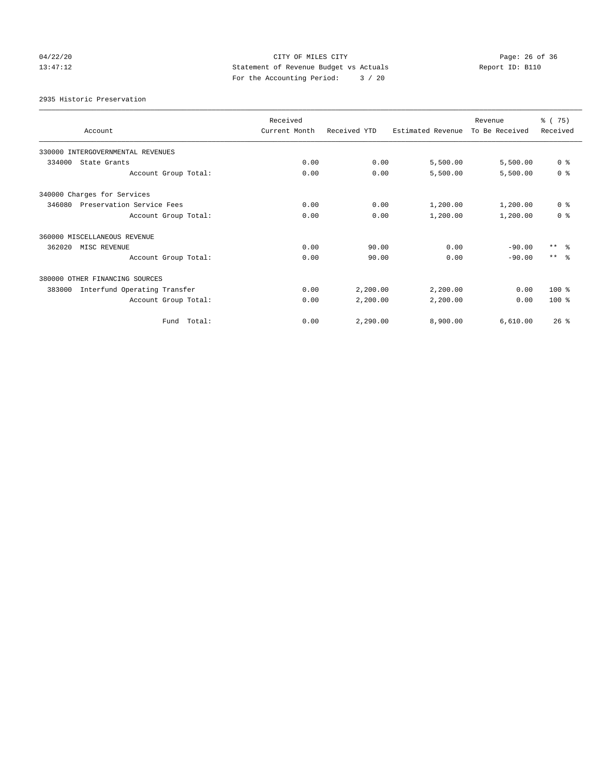# 04/22/20 Page: 26 of 36 CITY OF MILES CITY CHANGES CONTROL PAGE: 26 of 36 13:47:12 Statement of Revenue Budget vs Actuals Report ID: B110 For the Accounting Period: 3 / 20

2935 Historic Preservation

| Account                                | Received<br>Current Month | Received YTD | Estimated Revenue | Revenue<br>To Be Received | % (75)<br>Received |
|----------------------------------------|---------------------------|--------------|-------------------|---------------------------|--------------------|
| 330000 INTERGOVERNMENTAL REVENUES      |                           |              |                   |                           |                    |
| 334000<br>State Grants                 | 0.00                      | 0.00         | 5,500.00          | 5,500.00                  | 0 <sup>8</sup>     |
| Account Group Total:                   | 0.00                      | 0.00         | 5,500.00          | 5,500.00                  | 0 <sup>8</sup>     |
| 340000 Charges for Services            |                           |              |                   |                           |                    |
| 346080<br>Preservation Service Fees    | 0.00                      | 0.00         | 1,200.00          | 1,200.00                  | 0 <sup>8</sup>     |
| Account Group Total:                   | 0.00                      | 0.00         | 1,200.00          | 1,200.00                  | 0 <sup>8</sup>     |
| 360000 MISCELLANEOUS REVENUE           |                           |              |                   |                           |                    |
| 362020<br>MISC REVENUE                 | 0.00                      | 90.00        | 0.00              | $-90.00$                  | $***$ $ -$         |
| Account Group Total:                   | 0.00                      | 90.00        | 0.00              | $-90.00$                  | $***$ $\approx$    |
| 380000 OTHER FINANCING SOURCES         |                           |              |                   |                           |                    |
| Interfund Operating Transfer<br>383000 | 0.00                      | 2,200.00     | 2,200.00          | 0.00                      | 100 %              |
| Account Group Total:                   | 0.00                      | 2,200.00     | 2,200.00          | 0.00                      | $100*$             |
| Fund Total:                            | 0.00                      | 2.290.00     | 8,900.00          | 6.610.00                  | 26%                |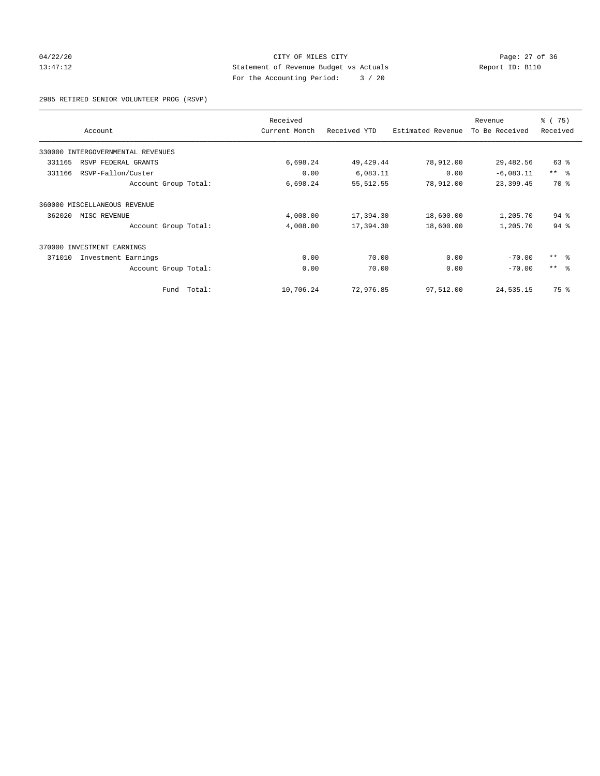## 04/22/20 Page: 27 of 36 CITY OF MILES CITY CHEMIC CITY PAGE: 27 of 36 13:47:12 Statement of Revenue Budget vs Actuals Report ID: B110 For the Accounting Period: 3 / 20

2985 RETIRED SENIOR VOLUNTEER PROG (RSVP)

|                                   | Received      |              |                   | Revenue        | % (75)     |
|-----------------------------------|---------------|--------------|-------------------|----------------|------------|
| Account                           | Current Month | Received YTD | Estimated Revenue | To Be Received | Received   |
| 330000 INTERGOVERNMENTAL REVENUES |               |              |                   |                |            |
| 331165<br>RSVP FEDERAL GRANTS     | 6,698.24      | 49, 429.44   | 78,912.00         | 29,482.56      | 63 %       |
| 331166<br>RSVP-Fallon/Custer      | 0.00          | 6,083.11     | 0.00              | $-6,083.11$    | $***$ $ -$ |
| Account Group Total:              | 6,698.24      | 55, 512.55   | 78,912.00         | 23,399.45      | 70 %       |
| 360000 MISCELLANEOUS REVENUE      |               |              |                   |                |            |
| 362020<br>MISC REVENUE            | 4,008.00      | 17,394.30    | 18,600.00         | 1,205.70       | $94$ %     |
| Account Group Total:              | 4,008.00      | 17,394.30    | 18,600.00         | 1,205.70       | $94$ $%$   |
| 370000<br>INVESTMENT EARNINGS     |               |              |                   |                |            |
| 371010<br>Investment Earnings     | 0.00          | 70.00        | 0.00              | $-70.00$       | $***$ $-$  |
| Account Group Total:              | 0.00          | 70.00        | 0.00              | $-70.00$       | $***$ $ -$ |
| Fund Total:                       | 10,706.24     | 72,976.85    | 97,512.00         | 24,535.15      | 75 %       |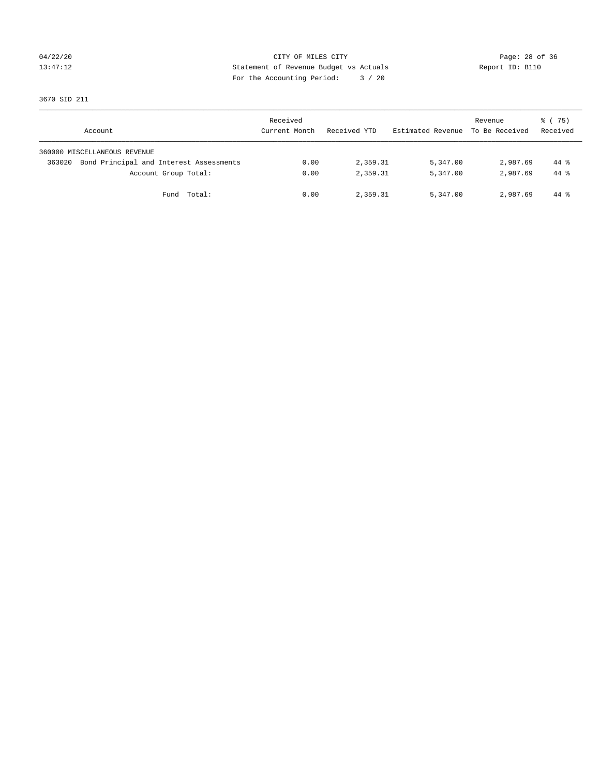# 04/22/20 Page: 28 of 36 CITY OF MILES CITY CHANGES CONTROL PAGE: 28 of 36 13:47:12 Statement of Revenue Budget vs Actuals Report ID: B110 For the Accounting Period: 3 / 20

3670 SID 211

| Account                                           | Received<br>Current Month | Received YTD | Estimated Revenue To Be Received | Revenue  | 8 (75)<br>Received |
|---------------------------------------------------|---------------------------|--------------|----------------------------------|----------|--------------------|
| 360000 MISCELLANEOUS REVENUE                      |                           |              |                                  |          |                    |
| Bond Principal and Interest Assessments<br>363020 | 0.00                      | 2,359.31     | 5,347.00                         | 2,987.69 | $44*$              |
| Account Group Total:                              | 0.00                      | 2,359.31     | 5,347.00                         | 2,987.69 | $44*$              |
| Fund Total:                                       | 0.00                      | 2,359.31     | 5,347.00                         | 2,987.69 | 44 %               |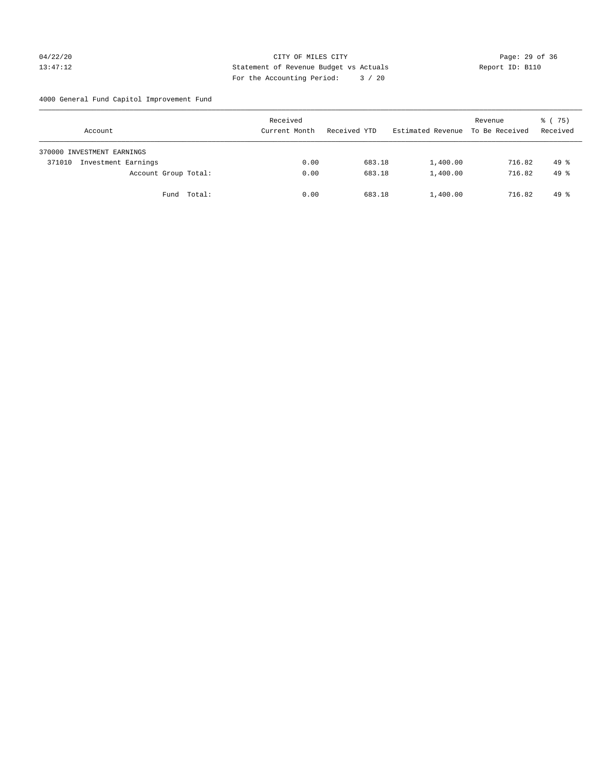## 04/22/20 Page: 29 of 36 CITY OF MILES CITY CHE CONTROL CONTROL PAGE: 29 of 36 13:47:12 Statement of Revenue Budget vs Actuals Report ID: B110 For the Accounting Period: 3 / 20

4000 General Fund Capitol Improvement Fund

| Account                       |                      | Received<br>Current Month | Received YTD | Estimated Revenue | Revenue<br>To Be Received | 8 (75)<br>Received |
|-------------------------------|----------------------|---------------------------|--------------|-------------------|---------------------------|--------------------|
| 370000 INVESTMENT EARNINGS    |                      |                           |              |                   |                           |                    |
| Investment Earnings<br>371010 |                      | 0.00                      | 683.18       | 1,400.00          | 716.82                    | $49*$              |
|                               | Account Group Total: | 0.00                      | 683.18       | 1,400.00          | 716.82                    | $49*$              |
|                               | Fund Total:          | 0.00                      | 683.18       | 1,400.00          | 716.82                    | $49*$              |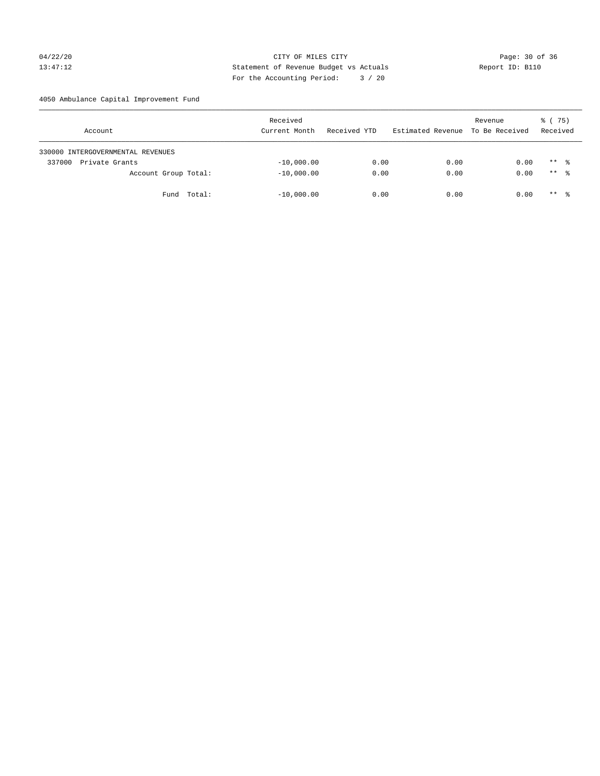## 04/22/20 Page: 30 of 36 CITY OF MILES CITY CHANGES CITY 13:47:12 Statement of Revenue Budget vs Actuals Report ID: B110 For the Accounting Period: 3 / 20

4050 Ambulance Capital Improvement Fund

| Account                           | Received<br>Current Month | Received YTD | Estimated Revenue | Revenue<br>To Be Received | 8 (75)<br>Received |
|-----------------------------------|---------------------------|--------------|-------------------|---------------------------|--------------------|
| 330000 INTERGOVERNMENTAL REVENUES |                           |              |                   |                           |                    |
| Private Grants<br>337000          | $-10,000.00$              | 0.00         | 0.00              | 0.00                      | $***$ %            |
| Account Group Total:              | $-10,000.00$              | 0.00         | 0.00              | 0.00                      | $***$ %            |
| Total:<br>Fund                    | $-10,000.00$              | 0.00         | 0.00              | 0.00                      | ** *               |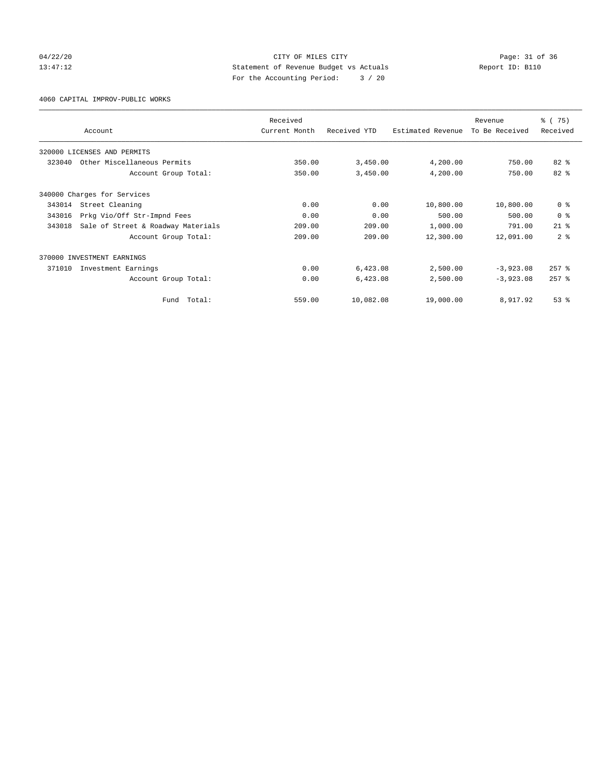## 04/22/20 Page: 31 of 36 CITY OF MILES CITY CHANGES CITY 13:47:12 Statement of Revenue Budget vs Actuals Report ID: B110 For the Accounting Period: 3 / 20

4060 CAPITAL IMPROV-PUBLIC WORKS

|        | Account                            | Received<br>Current Month | Received YTD | Estimated Revenue | Revenue<br>To Be Received | % (75)<br>Received |
|--------|------------------------------------|---------------------------|--------------|-------------------|---------------------------|--------------------|
|        |                                    |                           |              |                   |                           |                    |
|        | 320000 LICENSES AND PERMITS        |                           |              |                   |                           |                    |
| 323040 | Other Miscellaneous Permits        | 350.00                    | 3,450.00     | 4,200.00          | 750.00                    | 82 %               |
|        | Account Group Total:               | 350.00                    | 3,450.00     | 4,200.00          | 750.00                    | 82 %               |
|        | 340000 Charges for Services        |                           |              |                   |                           |                    |
| 343014 | Street Cleaning                    | 0.00                      | 0.00         | 10,800.00         | 10,800.00                 | 0 <sup>8</sup>     |
| 343016 | Prkg Vio/Off Str-Impnd Fees        | 0.00                      | 0.00         | 500.00            | 500.00                    | 0 <sup>8</sup>     |
| 343018 | Sale of Street & Roadway Materials | 209.00                    | 209.00       | 1,000.00          | 791.00                    | $21$ $%$           |
|        | Account Group Total:               | 209.00                    | 209.00       | 12,300.00         | 12,091.00                 | 2 <sup>8</sup>     |
|        | 370000 INVESTMENT EARNINGS         |                           |              |                   |                           |                    |
| 371010 | Investment Earnings                | 0.00                      | 6,423.08     | 2,500.00          | $-3,923.08$               | $257$ $%$          |
|        | Account Group Total:               | 0.00                      | 6,423.08     | 2,500.00          | $-3,923.08$               | $257$ $%$          |
|        | Total:<br>Fund                     | 559.00                    | 10,082.08    | 19,000.00         | 8,917.92                  | 53 <sup>8</sup>    |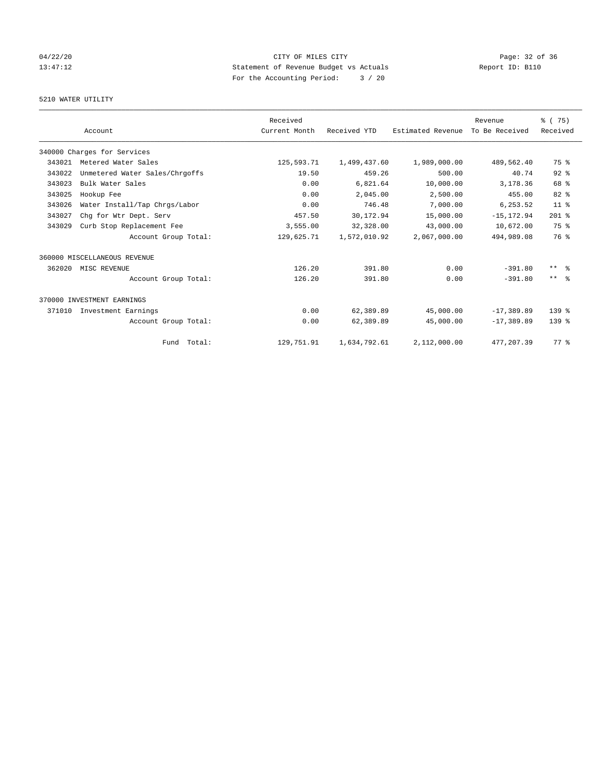# 04/22/20 Page: 32 of 36 CITY OF MILES CITY CHANGES CONTROL PAGE: 32 of 36 13:47:12 Statement of Revenue Budget vs Actuals Report ID: B110 For the Accounting Period: 3 / 20

## 5210 WATER UTILITY

|        |                                | Received      |              |                   | Revenue        | % (75)              |
|--------|--------------------------------|---------------|--------------|-------------------|----------------|---------------------|
|        | Account                        | Current Month | Received YTD | Estimated Revenue | To Be Received | Received            |
|        | 340000 Charges for Services    |               |              |                   |                |                     |
| 343021 | Metered Water Sales            | 125,593.71    | 1,499,437.60 | 1,989,000.00      | 489,562.40     | 75 %                |
| 343022 | Unmetered Water Sales/Chrgoffs | 19.50         | 459.26       | 500.00            | 40.74          | $92$ $%$            |
| 343023 | Bulk Water Sales               | 0.00          | 6,821.64     | 10,000.00         | 3,178.36       | 68 %                |
| 343025 | Hookup Fee                     | 0.00          | 2,045.00     | 2,500.00          | 455.00         | 82 %                |
| 343026 | Water Install/Tap Chrgs/Labor  | 0.00          | 746.48       | 7,000.00          | 6,253.52       | 11 <sup>°</sup>     |
| 343027 | Chg for Wtr Dept. Serv         | 457.50        | 30,172.94    | 15,000.00         | $-15, 172.94$  | $201$ %             |
| 343029 | Curb Stop Replacement Fee      | 3,555.00      | 32,328.00    | 43,000.00         | 10,672.00      | 75 %                |
|        | Account Group Total:           | 129,625.71    | 1,572,010.92 | 2,067,000.00      | 494,989.08     | 76 %                |
|        | 360000 MISCELLANEOUS REVENUE   |               |              |                   |                |                     |
| 362020 | MISC REVENUE                   | 126.20        | 391.80       | 0.00              | $-391.80$      | $***$ $\frac{6}{5}$ |
|        | Account Group Total:           | 126.20        | 391.80       | 0.00              | $-391.80$      | $***$ $  -$         |
|        | 370000 INVESTMENT EARNINGS     |               |              |                   |                |                     |
| 371010 | Investment Earnings            | 0.00          | 62,389.89    | 45,000.00         | $-17,389.89$   | 139 <sub>8</sub>    |
|        | Account Group Total:           | 0.00          | 62,389.89    | 45,000.00         | $-17,389.89$   | 139 <sub>8</sub>    |
|        | Fund Total:                    | 129,751.91    | 1,634,792.61 | 2,112,000.00      | 477, 207.39    | 77.8                |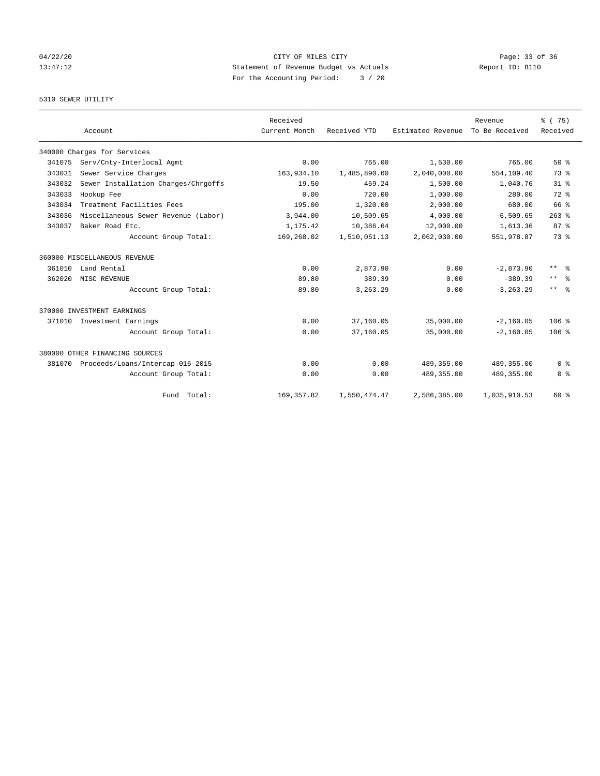# 04/22/20 Page: 33 of 36 CITY OF MILES CITY CHANGES CONTROL PAGE: 33 of 36 13:47:12 Statement of Revenue Budget vs Actuals Report ID: B110 For the Accounting Period: 3 / 20

## 5310 SEWER UTILITY

|        |                                         | Received      |              |                   | Revenue        | % (75)              |
|--------|-----------------------------------------|---------------|--------------|-------------------|----------------|---------------------|
|        | Account                                 | Current Month | Received YTD | Estimated Revenue | To Be Received | Received            |
|        | 340000 Charges for Services             |               |              |                   |                |                     |
| 341075 | Serv/Cnty-Interlocal Agmt               | 0.00          | 765.00       | 1,530.00          | 765.00         | $50*$               |
| 343031 | Sewer Service Charges                   | 163,934.10    | 1,485,890.60 | 2,040,000.00      | 554,109.40     | 73.8                |
| 343032 | Sewer Installation Charges/Chrgoffs     | 19.50         | 459.24       | 1,500.00          | 1,040.76       | 31.8                |
| 343033 | Hookup Fee                              | 0.00          | 720.00       | 1,000.00          | 280.00         | $72$ $%$            |
| 343034 | Treatment Facilities Fees               | 195.00        | 1,320.00     | 2,000.00          | 680.00         | 66 %                |
| 343036 | Miscellaneous Sewer Revenue (Labor)     | 3,944.00      | 10,509.65    | 4,000.00          | $-6, 509.65$   | $263$ $%$           |
| 343037 | Baker Road Etc.                         | 1,175.42      | 10,386.64    | 12,000.00         | 1,613.36       | 87 <sup>8</sup>     |
|        | Account Group Total:                    | 169,268.02    | 1,510,051.13 | 2,062,030.00      | 551,978.87     | 73.8                |
|        | 360000 MISCELLANEOUS REVENUE            |               |              |                   |                |                     |
| 361010 | Land Rental                             | 0.00          | 2,873.90     | 0.00              | $-2,873.90$    | $\star\star$<br>- 옹 |
| 362020 | MISC REVENUE                            | 89.80         | 389.39       | 0.00              | $-389.39$      | $***$<br>$\approx$  |
|        | Account Group Total:                    | 89.80         | 3, 263.29    | 0.00              | $-3.263.29$    | $***$ $=$           |
|        | 370000 INVESTMENT EARNINGS              |               |              |                   |                |                     |
| 371010 | Investment Earnings                     | 0.00          | 37,160.05    | 35,000.00         | $-2,160.05$    | 106 <sup>8</sup>    |
|        | Account Group Total:                    | 0.00          | 37,160.05    | 35,000.00         | $-2,160.05$    | 106%                |
|        | 380000 OTHER FINANCING SOURCES          |               |              |                   |                |                     |
|        | 381070 Proceeds/Loans/Intercap 016-2015 | 0.00          | 0.00         | 489,355.00        | 489,355.00     | 0 <sup>8</sup>      |
|        | Account Group Total:                    | 0.00          | 0.00         | 489, 355.00       | 489,355.00     | 0 <sup>8</sup>      |
|        | Fund Total:                             | 169, 357.82   | 1,550,474.47 | 2,586,385.00      | 1,035,910.53   | 60 %                |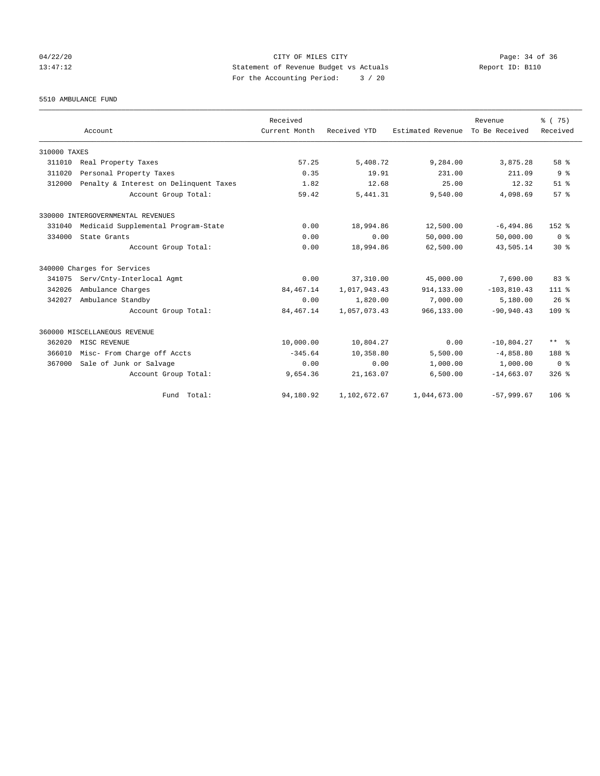# 04/22/20 Page: 34 of 36 CITY OF MILES CITY CHANGES CONTROL PAGE: 34 of 36 13:47:12 Statement of Revenue Budget vs Actuals Report ID: B110 For the Accounting Period: 3 / 20

5510 AMBULANCE FUND

|              | Account                                | Received<br>Current Month | Received YTD | Estimated Revenue | Revenue<br>To Be Received | % (75)<br>Received |
|--------------|----------------------------------------|---------------------------|--------------|-------------------|---------------------------|--------------------|
| 310000 TAXES |                                        |                           |              |                   |                           |                    |
| 311010       | Real Property Taxes                    | 57.25                     | 5,408.72     | 9,284.00          | 3,875.28                  | 58 %               |
| 311020       | Personal Property Taxes                | 0.35                      | 19.91        | 231.00            | 211.09                    | 9 <sup>°</sup>     |
|              |                                        | 1.82                      | 12.68        | 25.00             | 12.32                     | $51$ $%$           |
| 312000       | Penalty & Interest on Delinquent Taxes |                           |              |                   |                           |                    |
|              | Account Group Total:                   | 59.42                     | 5, 441.31    | 9,540.00          | 4,098.69                  | 57%                |
|              | 330000 INTERGOVERNMENTAL REVENUES      |                           |              |                   |                           |                    |
| 331040       | Medicaid Supplemental Program-State    | 0.00                      | 18,994.86    | 12,500.00         | $-6, 494.86$              | $152*$             |
| 334000       | State Grants                           | 0.00                      | 0.00         | 50,000.00         | 50,000.00                 | 0 <sup>8</sup>     |
|              | Account Group Total:                   | 0.00                      | 18,994.86    | 62,500.00         | 43,505.14                 | $30*$              |
|              | 340000 Charges for Services            |                           |              |                   |                           |                    |
| 341075       | Serv/Cnty-Interlocal Agmt              | 0.00                      | 37,310.00    | 45,000.00         | 7,690.00                  | 83 <sup>8</sup>    |
| 342026       | Ambulance Charges                      | 84, 467. 14               | 1,017,943.43 | 914,133.00        | $-103, 810.43$            | $111*$             |
| 342027       | Ambulance Standby                      | 0.00                      | 1,820.00     | 7,000.00          | 5,180.00                  | 26%                |
|              | Account Group Total:                   | 84, 467. 14               | 1,057,073.43 | 966,133.00        | $-90.940.43$              | 109 <sub>8</sub>   |
|              | 360000 MISCELLANEOUS REVENUE           |                           |              |                   |                           |                    |
| 362020       | MISC REVENUE                           | 10,000.00                 | 10,804.27    | 0.00              | $-10,804.27$              | ** %               |
| 366010       | Misc- From Charge off Accts            | $-345.64$                 | 10,358.80    | 5,500.00          | $-4,858.80$               | 188 %              |
| 367000       | Sale of Junk or Salvage                | 0.00                      | 0.00         | 1,000.00          | 1,000.00                  | 0 <sup>8</sup>     |
|              | Account Group Total:                   | 9,654.36                  | 21, 163.07   | 6,500.00          | $-14,663.07$              | $326$ $%$          |
|              | Fund Total:                            | 94,180.92                 | 1,102,672.67 | 1,044,673.00      | $-57,999.67$              | $106$ %            |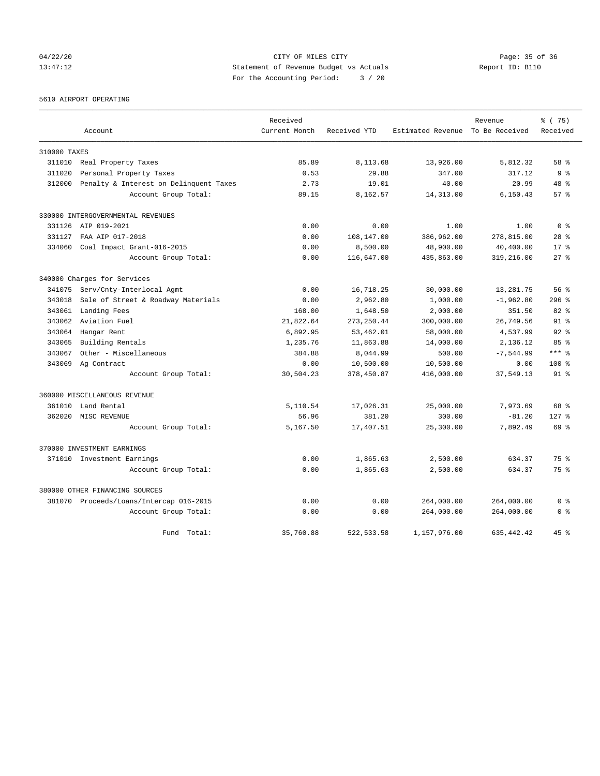04/22/20 Page: 35 of 36 CITY OF MILES CITY CHANGES CONTROL PAGE: 35 of 36 13:47:12 Statement of Revenue Budget vs Actuals Report ID: B110 For the Accounting Period: 3 / 20

5610 AIRPORT OPERATING

|              |                                         | Received      |              |                                  | Revenue     | % (75)          |
|--------------|-----------------------------------------|---------------|--------------|----------------------------------|-------------|-----------------|
|              | Account                                 | Current Month | Received YTD | Estimated Revenue To Be Received |             | Received        |
| 310000 TAXES |                                         |               |              |                                  |             |                 |
| 311010       | Real Property Taxes                     | 85.89         | 8,113.68     | 13,926.00                        | 5,812.32    | 58 %            |
| 311020       | Personal Property Taxes                 | 0.53          | 29.88        | 347.00                           | 317.12      | 9 <sup>°</sup>  |
| 312000       | Penalty & Interest on Delinquent Taxes  | 2.73          | 19.01        | 40.00                            | 20.99       | 48 %            |
|              | Account Group Total:                    | 89.15         | 8,162.57     | 14,313.00                        | 6,150.43    | $57*$           |
|              | 330000 INTERGOVERNMENTAL REVENUES       |               |              |                                  |             |                 |
|              | 331126 AIP 019-2021                     | 0.00          | 0.00         | 1.00                             | 1.00        | 0 <sup>8</sup>  |
| 331127       | FAA AIP 017-2018                        | 0.00          | 108,147.00   | 386,962.00                       | 278,815.00  | $28$ %          |
| 334060       | Coal Impact Grant-016-2015              | 0.00          | 8,500.00     | 48,900.00                        | 40,400.00   | $17*$           |
|              | Account Group Total:                    | 0.00          | 116,647.00   | 435,863.00                       | 319,216.00  | $27$ $%$        |
|              | 340000 Charges for Services             |               |              |                                  |             |                 |
| 341075       | Serv/Cnty-Interlocal Agmt               | 0.00          | 16,718.25    | 30,000.00                        | 13,281.75   | 56%             |
| 343018       | Sale of Street & Roadway Materials      | 0.00          | 2,962.80     | 1,000.00                         | $-1,962.80$ | $296$ $%$       |
| 343061       | Landing Fees                            | 168.00        | 1,648.50     | 2,000.00                         | 351.50      | $82$ $%$        |
| 343062       | Aviation Fuel                           | 21,822.64     | 273, 250.44  | 300,000.00                       | 26,749.56   | 91 <sup>°</sup> |
| 343064       | Hangar Rent                             | 6,892.95      | 53, 462.01   | 58,000.00                        | 4,537.99    | 92 <sub>8</sub> |
| 343065       | Building Rentals                        | 1,235.76      | 11,863.88    | 14,000.00                        | 2,136.12    | 85%             |
| 343067       | Other - Miscellaneous                   | 384.88        | 8,044.99     | 500.00                           | $-7,544.99$ | $***$ $%$       |
|              | 343069 Ag Contract                      | 0.00          | 10,500.00    | 10,500.00                        | 0.00        | 100%            |
|              | Account Group Total:                    | 30,504.23     | 378,450.87   | 416,000.00                       | 37,549.13   | $91$ $8$        |
|              | 360000 MISCELLANEOUS REVENUE            |               |              |                                  |             |                 |
| 361010       | Land Rental                             | 5,110.54      | 17,026.31    | 25,000.00                        | 7,973.69    | 68 %            |
| 362020       | MISC REVENUE                            | 56.96         | 381.20       | 300.00                           | $-81.20$    | $127$ $%$       |
|              | Account Group Total:                    | 5,167.50      | 17,407.51    | 25,300.00                        | 7,892.49    | 69 %            |
|              | 370000 INVESTMENT EARNINGS              |               |              |                                  |             |                 |
|              | 371010 Investment Earnings              | 0.00          | 1,865.63     | 2,500.00                         | 634.37      | 75 %            |
|              | Account Group Total:                    | 0.00          | 1,865.63     | 2,500.00                         | 634.37      | 75%             |
|              | 380000 OTHER FINANCING SOURCES          |               |              |                                  |             |                 |
|              | 381070 Proceeds/Loans/Intercap 016-2015 | 0.00          | 0.00         | 264,000.00                       | 264,000.00  | 0 <sup>8</sup>  |
|              | Account Group Total:                    | 0.00          | 0.00         | 264,000.00                       | 264,000.00  | 0 <sup>8</sup>  |
|              | Fund<br>Total:                          | 35,760.88     | 522, 533.58  | 1,157,976.00                     | 635, 442.42 | $45*$           |